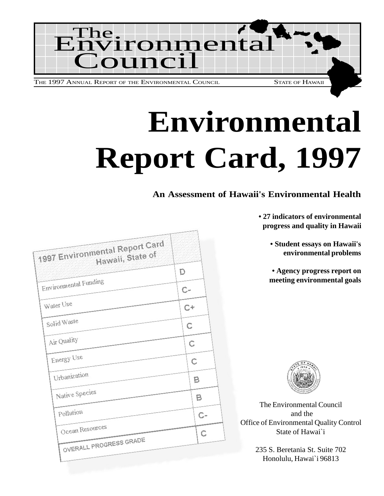

# **Environmental Report Card, 1997**

## **An Assessment of Hawaii's Environmental Health**

**• 27 indicators of environmental progress and quality in Hawaii**

> **• Student essays on Hawaii's environmental problems**

**• Agency progress report on meeting environmental goals**



The Environmental Council and the Office of Environmental Quality Control State of Hawai`i

> 235 S. Beretania St. Suite 702 Honolulu, Hawai`i 96813

| 1997 Environmental Report Card<br>Hawall, State of | D    |      |
|----------------------------------------------------|------|------|
| Environmental Funding                              | $C-$ |      |
| Water Use                                          | $C+$ |      |
| Solid Waste                                        | C    |      |
| Air Quality                                        | C    |      |
| Energy Use                                         | Ċ    |      |
| Urbanization                                       |      | в    |
| Native Species                                     |      | в    |
| Pollution                                          |      | $C-$ |
| Ocean Resources<br>OVERALL PROGRESS GRADE          |      | C    |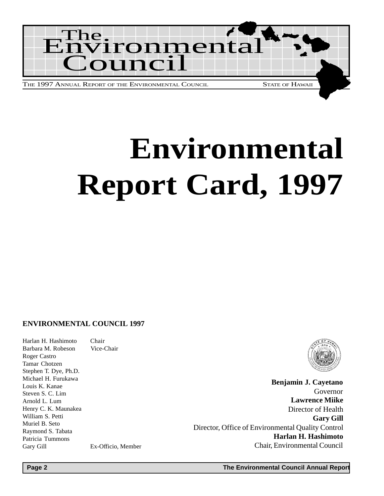

# **Environmental Report Card, 1997**

### **ENVIRONMENTAL COUNCIL 1997**

Harlan H. Hashimoto Chair Barbara M. Robeson Vice-Chair Roger Castro Tamar Chotzen Stephen T. Dye, Ph.D. Michael H. Furukawa Louis K. Kanae Steven S. C. Lim Arnold L. Lum Henry C. K. Maunakea William S. Petti Muriel B. Seto Raymond S. Tabata Patricia Tummons Gary Gill Ex-Officio, Member



**Benjamin J. Cayetano** Governor **Lawrence Miike** Director of Health **Gary Gill** Director, Office of Environmental Quality Control **Harlan H. Hashimoto** Chair, Environmental Council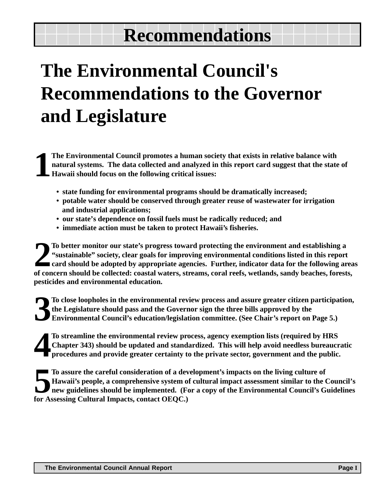## **Recommendations**

## **The Environmental Council's Recommendations to the Governor and Legislature**

**1 The Environmental Council promotes a human society that exists in relative balance with natural systems. The data collected and analyzed in this report card suggest that the state of Hawaii should focus on the following critical issues:**

- **state funding for environmental programs should be dramatically increased;**
- **potable water should be conserved through greater reuse of wastewater for irrigation and industrial applications;**
- **our state's dependence on fossil fuels must be radically reduced; and**
- **immediate action must be taken to protect Hawaii's fisheries.**

To better monitor our state's progress toward protecting the environment and establishing a "sustainable" society, clear goals for improving environmental conditions listed in this report card should be adopted by appropri **To better monitor our state's progress toward protecting the environment and establishing a "sustainable" society, clear goals for improving environmental conditions listed in this report card should be adopted by appropriate agencies. Further, indicator data for the following areas pesticides and environmental education.**

**3 To close loopholes in the environmental review process and assure greater citizen participation, the Legislature should pass and the Governor sign the three bills approved by the Environmental Council's education/legislation committee. (See Chair's report on Page 5.)**

**4 To streamline the environmental review process, agency exemption lists (required by HRS Chapter 343) should be updated and standardized. This will help avoid needless bureaucratic procedures and provide greater certainty to the private sector, government and the public.**

**Fo** assure the careful consideration of a dev<br> **For Assessing Cultural Impacts, contact OEQC.)**<br> **for Assessing Cultural Impacts, contact OEQC. To assure the careful consideration of a development's impacts on the living culture of Hawaii's people, a comprehensive system of cultural impact assessment similar to the Council's new guidelines should be implemented. (For a copy of the Environmental Council's Guidelines**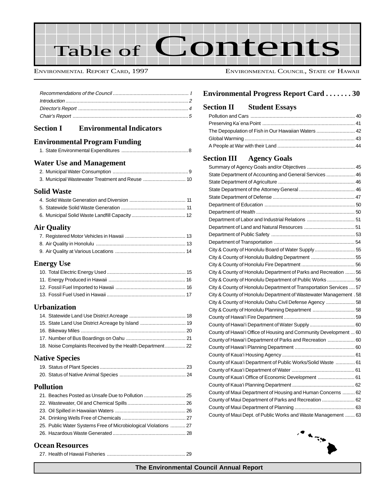

ENVIRONMENTAL REPORT CARD, 1997 ENVIRONMENTAL COUNCIL, STATE OF HAWAII

## **Section I Environmental Indicators**

## **Environmental Program Funding**

|--|--|--|--|

## **Water Use and Management**

## **Solid Waste**

## **Air Quality**

## **Energy Use**

## **Urbanization**

| 15. State Land Use District Acreage by Island  19         |  |
|-----------------------------------------------------------|--|
|                                                           |  |
|                                                           |  |
| 18. Noise Complaints Received by the Health Department 22 |  |

## **Native Species**

## **Pollution**

| 21. Beaches Posted as Unsafe Due to Pollution  25               |  |
|-----------------------------------------------------------------|--|
|                                                                 |  |
|                                                                 |  |
|                                                                 |  |
| 25. Public Water Systems Free of Microbiological Violations  27 |  |
|                                                                 |  |
|                                                                 |  |

## **Environmental Progress Report Card . . . . . . . 30**

## **Section II Student Essays**

| The Depopulation of Fish in Our Hawaiian Waters  42 |  |
|-----------------------------------------------------|--|
|                                                     |  |
|                                                     |  |

## **Section III Agency Goals**

| State Department of Accounting and General Services  46             |  |
|---------------------------------------------------------------------|--|
|                                                                     |  |
|                                                                     |  |
|                                                                     |  |
|                                                                     |  |
|                                                                     |  |
|                                                                     |  |
|                                                                     |  |
|                                                                     |  |
|                                                                     |  |
| City & County of Honolulu Board of Water Supply  55                 |  |
| City & County of Honolulu Building Department  55                   |  |
|                                                                     |  |
| City & County of Honolulu Department of Parks and Recreation  56    |  |
| City & County of Honolulu Department of Public Works  56            |  |
| City & County of Honolulu Department of Transportation Services  57 |  |
| City & County of Honolulu Department of Wastewater Management . 58  |  |
| City & County of Honolulu Oahu Civil Defense Agency  58             |  |
| City & County of Honolulu Planning Department  58                   |  |
|                                                                     |  |
|                                                                     |  |
| County of Hawai'i Office of Housing and Community Development  60   |  |
| County of Hawai'i Department of Parks and Recreation  60            |  |
|                                                                     |  |
|                                                                     |  |
| County of Kaua'i Department of Public Works/Solid Waste  61         |  |
|                                                                     |  |
| County of Kaua'i Office of Economic Development  61                 |  |
|                                                                     |  |
| County of Maui Department of Housing and Human Concerns  62         |  |
| County of Maui Department of Parks and Recreation  62               |  |
|                                                                     |  |
| County of Maui Dept. of Public Works and Waste Management  63       |  |



## **Ocean Resources**

27. Health of Hawaii Fisheries ......................................................... 29

**The Environmental Council Annual Report**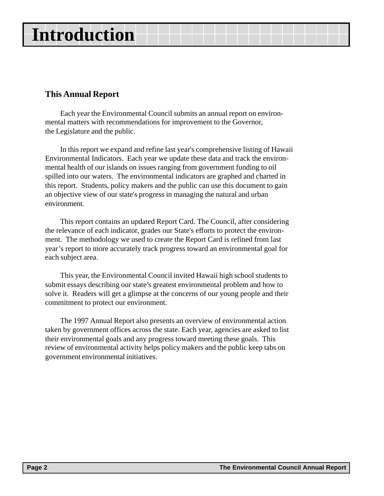## **Introduction**

## **This Annual Report**

Each year the Environmental Council submits an annual report on environmental matters with recommendations for improvement to the Governor, the Legislature and the public.

In this report we expand and refine last year's comprehensive listing of Hawaii Environmental Indicators. Each year we update these data and track the environmental health of our islands on issues ranging from government funding to oil spilled into our waters. The environmental indicators are graphed and charted in this report. Students, policy makers and the public can use this document to gain an objective view of our state's progress in managing the natural and urban environment.

This report contains an updated Report Card. The Council, after considering the relevance of each indicator, grades our State's efforts to protect the environment. The methodology we used to create the Report Card is refined from last year's report to more accurately track progress toward an environmental goal for each subject area.

This year, the Environmental Council invited Hawaii high school students to submit essays describing our state's greatest environmental problem and how to solve it. Readers will get a glimpse at the concerns of our young people and their commitment to protect our environment.

The 1997 Annual Report also presents an overview of environmental action taken by government offices across the state. Each year, agencies are asked to list their environmental goals and any progress toward meeting these goals. This review of environmental activity helps policy makers and the public keep tabs on government environmental initiatives.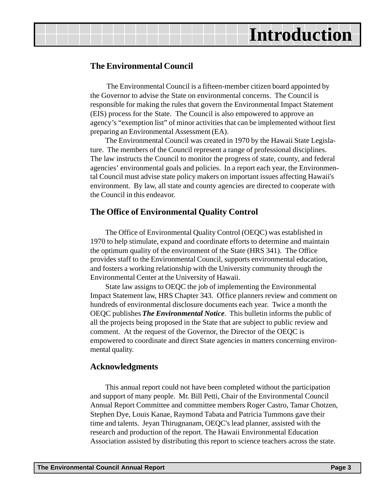## **Introduction**

## **The Environmental Council**

The Environmental Council is a fifteen-member citizen board appointed by the Governor to advise the State on environmental concerns. The Council is responsible for making the rules that govern the Environmental Impact Statement (EIS) process for the State. The Council is also empowered to approve an agency's "exemption list" of minor activities that can be implemented without first preparing an Environmental Assessment (EA).

The Environmental Council was created in 1970 by the Hawaii State Legislature. The members of the Council represent a range of professional disciplines. The law instructs the Council to monitor the progress of state, county, and federal agencies' environmental goals and policies. In a report each year, the Environmental Council must advise state policy makers on important issues affecting Hawaii's environment. By law, all state and county agencies are directed to cooperate with the Council in this endeavor.

## **The Office of Environmental Quality Control**

The Office of Environmental Quality Control (OEQC) was established in 1970 to help stimulate, expand and coordinate efforts to determine and maintain the optimum quality of the environment of the State (HRS 341). The Office provides staff to the Environmental Council, supports environmental education, and fosters a working relationship with the University community through the Environmental Center at the University of Hawaii.

State law assigns to OEQC the job of implementing the Environmental Impact Statement law, HRS Chapter 343. Office planners review and comment on hundreds of environmental disclosure documents each year. Twice a month the OEQC publishes *The Environmental Notice*. This bulletin informs the public of all the projects being proposed in the State that are subject to public review and comment. At the request of the Governor, the Director of the OEQC is empowered to coordinate and direct State agencies in matters concerning environmental quality.

## **Acknowledgments**

This annual report could not have been completed without the participation and support of many people. Mr. Bill Petti, Chair of the Environmental Council Annual Report Committee and committee members Roger Castro, Tamar Chotzen, Stephen Dye, Louis Kanae, Raymond Tabata and Patricia Tummons gave their time and talents. Jeyan Thirugnanam, OEQC's lead planner, assisted with the research and production of the report. The Hawaii Environmental Education Association assisted by distributing this report to science teachers across the state.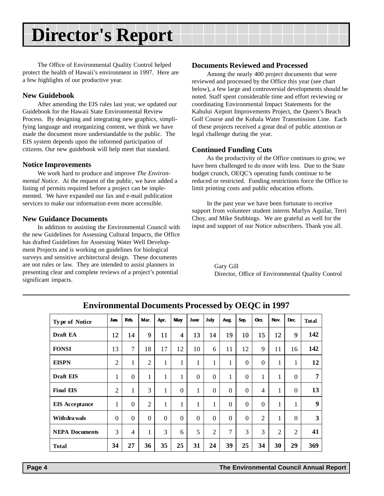## **Director's Report**

The Office of Environmental Quality Control helped protect the health of Hawaii's environment in 1997. Here are a few highlights of our productive year.

## **New Guidebook**

After amending the EIS rules last year, we updated our Guidebook for the Hawaii State Environmental Review Process. By designing and integrating new graphics, simplifying language and reorganizing content, we think we have made the document more understandable to the public. The EIS system depends upon the informed participation of citizens. Our new guidebook will help meet that standard.

## **Notice Improvements**

We work hard to produce and improve *The Environmental Notice*. At the request of the public, we have added a listing of permits required before a project can be implemented. We have expanded our fax and e-mail publication services to make our information even more accessible.

## **New Guidance Documents**

In addition to assisting the Environmental Council with the new Guidelines for Assessing Cultural Impacts, the Office has drafted Guidelines for Assessing Water Well Development Projects and is working on guidelines for biological surveys and sensitive architectural design. These documents are not rules or law. They are intended to assist planners in presenting clear and complete reviews of a project's potential significant impacts.

## **Documents Reviewed and Processed**

Among the nearly 400 project documents that were reviewed and processed by the Office this year (see chart below), a few large and controversial developments should be noted. Staff spent considerable time and effort reviewing or coordinating Environmental Impact Statements for the Kahului Airport Improvements Project, the Queen's Beach Golf Course and the Kohala Water Transmission Line. Each of these projects received a great deal of public attention or legal challenge during the year.

## **Continued Funding Cuts**

As the productivity of the Office continues to grow, we have been challenged to do more with less. Due to the State budget crunch, OEQC's operating funds continue to be reduced or restricted. Funding restrictions force the Office to limit printing costs and public education efforts.

In the past year we have been fortunate to receive support from volunteer student interns Marlyn Aquilar, Terri Choy, and Mike Stubbings. We are grateful as well for the input and support of our Notice subscribers. Thank you all.

> Gary Gill Director, Office of Environmental Quality Control

| <b>Type of Notice</b> | <b>Jam</b>     | Feb.           | Mar.           | Apr.         | May                      | June           | July           | Aug.         | Sep.             | Oct.           | Nov.           | Dec.           | <b>Total</b>     |
|-----------------------|----------------|----------------|----------------|--------------|--------------------------|----------------|----------------|--------------|------------------|----------------|----------------|----------------|------------------|
| Draft EA              | 12             | 14             | 9              | 11           | $\overline{\mathcal{L}}$ | 13             | 14             | 19           | 10               | 15             | 12             | 9              | 142              |
| <b>FONSI</b>          | 13             | $\tau$         | 18             | 17           | 12                       | 10             | 6              | 11           | 12               | 9              | 11             | 16             | 142              |
| <b>EISPN</b>          | $\overline{2}$ | $\mathbf{1}$   | $\overline{2}$ | 1            | 1                        | $\mathbf{1}$   | $\mathbf{1}$   | $\mathbf{1}$ | $\mathbf{0}$     | $\Omega$       | 1              | 1              | 12               |
| Draft EIS             | 1              | $\mathbf{0}$   | 1              | $\mathbf{1}$ | 1                        | $\overline{0}$ | $\overline{0}$ | 1            | $\overline{0}$   | 1              | 1              | $\Omega$       | 7                |
| <b>Final EIS</b>      | $\overline{2}$ | 1              | 3              | 1            | $\boldsymbol{0}$         | 1              | $\theta$       | $\Omega$     | $\boldsymbol{0}$ | $\overline{4}$ | 1              | $\theta$       | 13               |
| <b>EIS</b> Acceptance | 1              | $\mathbf{0}$   | $\overline{2}$ | $\mathbf{1}$ | 1                        | $\mathbf{1}$   | $\mathbf{1}$   | $\theta$     | $\boldsymbol{0}$ | $\overline{0}$ | $\mathbf{1}$   | $\mathbf{1}$   | $\boldsymbol{9}$ |
| With dra wals         | $\theta$       | $\Omega$       | $\Omega$       | $\Omega$     | $\Omega$                 | $\overline{0}$ | $\Omega$       | $\Omega$     | $\boldsymbol{0}$ | $\overline{2}$ | 1              | $\Omega$       | 3                |
| <b>NEPA Documents</b> | 3              | $\overline{4}$ | 1              | 3            | 6                        | 5              | $\overline{2}$ | 7            | 3                | 3              | $\overline{2}$ | $\overline{2}$ | 41               |
| <b>Total</b>          | 34             | 27             | 36             | 35           | 25                       | 31             | 24             | 39           | 25               | 34             | 30             | 29             | 369              |

**Environmental Documents Processed by OEQC in 1997**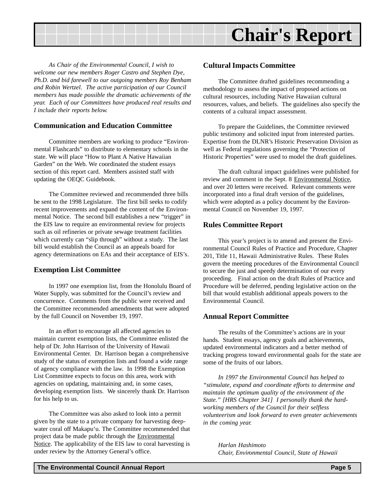

*As Chair of the Environmental Council, I wish to welcome our new members Roger Castro and Stephen Dye, Ph.D. and bid farewell to our outgoing members Roy Benham and Robin Wertzel. The active participation of our Council members has made possible the dramatic achievements of the year. Each of our Committees have produced real results and I include their reports below.*

## **Communication and Education Committee**

Committee members are working to produce "Environmental Flashcards" to distribute to elementary schools in the state. We will place "How to Plant A Native Hawaiian Garden" on the Web. We coordinated the student essays section of this report card. Members assisted staff with updating the OEQC Guidebook.

The Committee reviewed and recommended three bills be sent to the 1998 Legislature. The first bill seeks to codify recent improvements and expand the content of the Environmental Notice. The second bill establishes a new "trigger" in the EIS law to require an environmental review for projects such as oil refineries or private sewage treatment facilities which currently can "slip through" without a study. The last bill would establish the Council as an appeals board for agency determinations on EAs and their acceptance of EIS's.

## **Exemption List Committee**

In 1997 one exemption list, from the Honolulu Board of Water Supply, was submitted for the Council's review and concurrence. Comments from the public were received and the Committee recommended amendments that were adopted by the full Council on November 19, 1997.

In an effort to encourage all affected agencies to maintain current exemption lists, the Committee enlisted the help of Dr. John Harrison of the University of Hawaii Environmental Center. Dr. Harrison began a comprehensive study of the status of exemption lists and found a wide range of agency compliance with the law. In 1998 the Exemption List Committee expects to focus on this area, work with agencies on updating, maintaining and, in some cases, developing exemption lists. We sincerely thank Dr. Harrison for his help to us.

The Committee was also asked to look into a permit given by the state to a private company for harvesting deepwater coral off Makapu'u. The Committee recommended that project data be made public through the Environmental Notice. The applicability of the EIS law to coral harvesting is under review by the Attorney General's office.

## **Cultural Impacts Committee**

The Committee drafted guidelines recommending a methodology to assess the impact of proposed actions on cultural resources, including Native Hawaiian cultural resources, values, and beliefs. The guidelines also specify the contents of a cultural impact assessment.

To prepare the Guidelines, the Committee reviewed public testimony and solicited input from interested parties. Expertise from the DLNR's Historic Preservation Division as well as Federal regulations governing the "Protection of Historic Properties" were used to model the draft guidelines.

The draft cultural impact guidelines were published for review and comment in the Sept. 8 Environmental Notice, and over 20 letters were received. Relevant comments were incorporated into a final draft version of the guidelines, which were adopted as a policy document by the Environmental Council on November 19, 1997.

## **Rules Committee Report**

This year's project is to amend and present the Environmental Council Rules of Practice and Procedure, Chapter 201, Title 11, Hawaii Administrative Rules. These Rules govern the meeting procedures of the Environmental Council to secure the just and speedy determination of our every proceeding. Final action on the draft Rules of Practice and Procedure will be deferred, pending legislative action on the bill that would establish additional appeals powers to the Environmental Council.

## **Annual Report Committee**

The results of the Committee's actions are in your hands. Student essays, agency goals and achievements, updated environmental indicators and a better method of tracking progress toward environmental goals for the state are some of the fruits of our labors.

*In 1997 the Environmental Council has helped to "stimulate, expand and coordinate efforts to determine and maintain the optimum quality of the environment of the State." [HRS Chapter 341] I personally thank the hardworking members of the Council for their selfless volunteerism and look forward to even greater achievements in the coming year.*

*Harlan Hashimoto Chair, Environmental Council, State of Hawaii*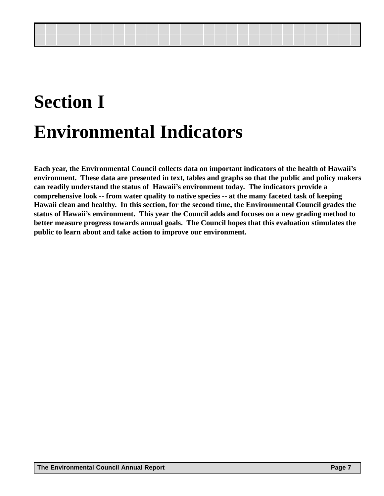## **Section I Environmental Indicators**

**Each year, the Environmental Council collects data on important indicators of the health of Hawaii's environment. These data are presented in text, tables and graphs so that the public and policy makers can readily understand the status of Hawaii's environment today. The indicators provide a comprehensive look -- from water quality to native species -- at the many faceted task of keeping Hawaii clean and healthy. In this section, for the second time, the Environmental Council grades the status of Hawaii's environment. This year the Council adds and focuses on a new grading method to better measure progress towards annual goals. The Council hopes that this evaluation stimulates the public to learn about and take action to improve our environment.**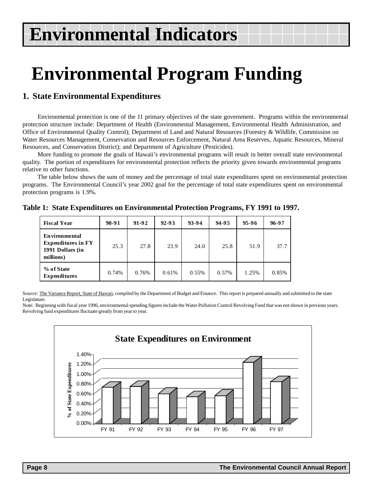## **Environmental Program Funding**

## **1. State Environmental Expenditures**

Environmental protection is one of the 11 primary objectives of the state government. Programs within the environmental protection structure include: Department of Health (Environmental Management, Environmental Health Administration, and Office of Environmental Quality Control); Department of Land and Natural Resources (Forestry & Wildlife, Commission on Water Resources Management, Conservation and Resources Enforcement, Natural Area Reserves, Aquatic Resources, Mineral Resources, and Conservation District); and Department of Agriculture (Pesticides).

More funding to promote the goals of Hawaii's environmental programs will result in better overall state environmental quality. The portion of expenditures for environmental protection reflects the priority given towards environmental programs relative to other functions.

The table below shows the sum of money and the percentage of total state expenditures spent on environmental protection programs. The Environmental Council's year 2002 goal for the percentage of total state expenditures spent on environmental protection programs is 1.9%.

| <b>Fiscal Year</b>                                                                 | $90 - 91$ | $91 - 92$ | 92-93 | 93-94 | 94-95 | $95-96$ | 96-97 |
|------------------------------------------------------------------------------------|-----------|-----------|-------|-------|-------|---------|-------|
| <b>Environmental</b><br><b>Expenditures in FY</b><br>1991 Dollars (in<br>millions) | 25.3      | 27.8      | 23.9  | 24.0  | 25.8  | 51.9    | 37.7  |
| % of State<br><b>Expenditures</b>                                                  | 0.74%     | 0.76%     | 0.61% | 0.55% | 0.57% | 1.25%   | 0.85% |

**Table 1: State Expenditures on Environmental Protection Programs, FY 1991 to 1997.**

Source: The Variance Report, State of Hawaii, compiled by the Department of Budget and Finance. This report is prepared annually and submitted to the state Legislature.

Note: Beginning with fiscal year 1996, environmental spending figures include the Water Pollution Control Revolving Fund that was not shown in previous years. Revolving fund expenditures fluctuate greatly from year to year.

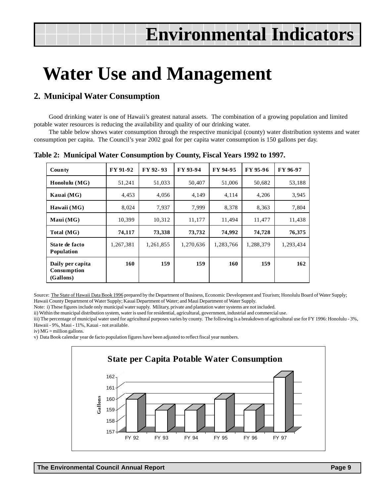## **Water Use and Management**

## **2. Municipal Water Consumption**

Good drinking water is one of Hawaii's greatest natural assets. The combination of a growing population and limited potable water resources is reducing the availability and quality of our drinking water.

The table below shows water consumption through the respective municipal (county) water distribution systems and water consumption per capita. The Council's year 2002 goal for per capita water consumption is 150 gallons per day.

| County                                       | FY 91-92  | FY 92-93  | FY 93-94  | FY 94-95  | FY 95-96  | FY 96-97  |
|----------------------------------------------|-----------|-----------|-----------|-----------|-----------|-----------|
| Honolulu $(MG)$                              | 51,241    | 51,033    | 50,407    | 51,006    | 50,682    | 53,188    |
| Kauai (MG)                                   | 4,453     | 4,056     | 4,149     | 4,114     | 4,206     | 3,945     |
| Hawaii (MG)                                  | 8,024     | 7,937     | 7,999     | 8,378     | 8,363     | 7,804     |
| $M$ aui (MG)                                 | 10.399    | 10.312    | 11,177    | 11,494    | 11,477    | 11,438    |
| Total (MG)                                   | 74,117    | 73,338    | 73,732    | 74,992    | 74,728    | 76,375    |
| State de facto<br>Population                 | 1,267,381 | 1,261,855 | 1,270,636 | 1,283,766 | 1,288,379 | 1,293,434 |
| Daily per capita<br>Consumption<br>(Gallons) | 160       | 159       | 159       | 160       | 159       | 162       |

**Table 2: Municipal Water Consumption by County, Fiscal Years 1992 to 1997.**

Source: The State of Hawaii Data Book 1996 prepared by the Department of Business, Economic Development and Tourism; Honolulu Board of Water Supply; Hawaii County Department of Water Supply; Kauai Department of Water; and Maui Department of Water Supply.

Note: i) These figures include only municipal water supply. Military, private and plantation water systems are not included.

ii) Within the municipal distribution system, water is used for residential, agricultural, government, industrial and commercial use.

iii) The percentage of municipal water used for agricultural purposes varies by county. The following is a breakdown of agricultural use for FY 1996: Honolulu - 3%, Hawaii - 9%, Maui - 11%, Kauai - not available.

iv)  $MG =$  million gallons.

v) Data Book calendar year de facto population figures have been adjusted to reflect fiscal year numbers.

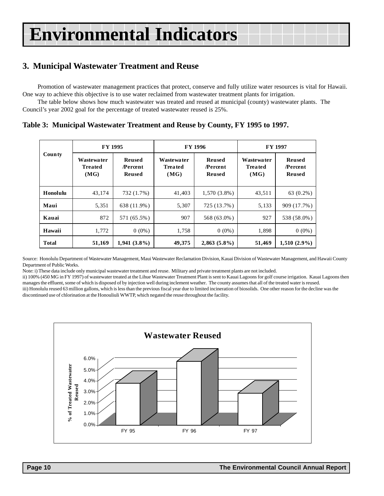## **3. Municipal Wastewater Treatment and Reuse**

Promotion of wastewater management practices that protect, conserve and fully utilize water resources is vital for Hawaii. One way to achieve this objective is to use water reclaimed from wastewater treatment plants for irrigation.

The table below shows how much wastewater was treated and reused at municipal (county) wastewater plants. The Council's year 2002 goal for the percentage of treated wastewater reused is 25%.

**Table 3: Municipal Wastewater Treatment and Reuse by County, FY 1995 to 1997.**

|              | FY 1995                               |                                                  |                                       | FY 1996                                   | FY 1997                               |                                                  |  |
|--------------|---------------------------------------|--------------------------------------------------|---------------------------------------|-------------------------------------------|---------------------------------------|--------------------------------------------------|--|
| County       | Wastewa ter<br><b>Treated</b><br>(MG) | <b>Rensed</b><br><b>Percent</b><br><b>Reused</b> | Wastewa ter<br><b>Treated</b><br>(MG) | <b>Rensed</b><br><b>Percent</b><br>Reused | Wastewa ter<br><b>Treated</b><br>(MG) | <b>Reused</b><br><b>Percent</b><br><b>Reused</b> |  |
| Honolulu     | 43.174                                | 732 (1.7%)                                       | 41,403                                | $1,570(3.8\%)$                            | 43,511                                | 63 (0.2%)                                        |  |
| Maui         | 5,351                                 | 638 (11.9%)                                      | 5,307                                 | 725 (13.7%)                               | 5,133                                 | 909 (17.7%)                                      |  |
| Kauai        | 872                                   | 571 (65.5%)                                      | 907                                   | 568 (63.0%)                               | 927                                   | 538 (58.0%)                                      |  |
| Hawaii       | 1,772                                 | $0(0\%)$                                         | 1,758                                 | $0(0\%)$                                  | 1,898                                 | $0(0\%)$                                         |  |
| <b>Total</b> | 51,169                                | $1,941(3.8\%)$                                   | 49,375                                | $2,863(5.8\%)$                            | 51,469                                | $1,510(2.9\%)$                                   |  |

Source: Honolulu Department of Wastewater Management, Maui Wastewater Reclamation Division, Kauai Division of Wastewater Management, and Hawaii County Department of Public Works.

Note: i) These data include only municipal wastewater treatment and reuse. Military and private treatment plants are not included.

ii) 100% (450 MG in FY 1997) of wastewater treated at the Lihue Wastewater Treatment Plant is sent to Kauai Lagoons for golf course irrigation. Kauai Lagoons then manages the effluent, some of which is disposed of by injection well during inclement weather. The county assumes that all of the treated water is reused. iii) Honolulu reused 63 million gallons, which is less than the previous fiscal year due to limited incineration of biosolids. One other reason for the decline was the discontinued use of chlorination at the Honouliuli WWTP, which negated the reuse throughout the facility.

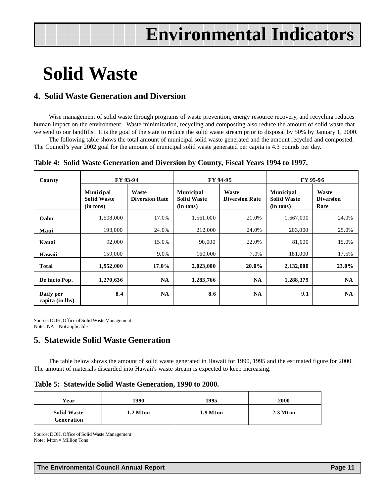## **Solid Waste**

## **4. Solid Waste Generation and Diversion**

Wise management of solid waste through programs of waste prevention, energy resource recovery, and recycling reduces human impact on the environment. Waste minimization, recycling and composting also reduce the amount of solid waste that we send to our landfills. It is the goal of the state to reduce the solid waste stream prior to disposal by 50% by January 1, 2000.

The following table shows the total amount of municipal solid waste generated and the amount recycled and composted. The Council's year 2002 goal for the amount of municipal solid waste generated per capita is 4.3 pounds per day.

|  | Table 4: Solid Waste Generation and Diversion by County, Fiscal Years 1994 to 1997. |  |  |  |  |
|--|-------------------------------------------------------------------------------------|--|--|--|--|
|  |                                                                                     |  |  |  |  |

| County                       |                                              | FY 93-94                       |                                              | FY 94-95                       | FY 95-96                                     |                                   |  |
|------------------------------|----------------------------------------------|--------------------------------|----------------------------------------------|--------------------------------|----------------------------------------------|-----------------------------------|--|
|                              | Municipal<br><b>Solid Waste</b><br>(in tons) | Waste<br><b>Diversion Rate</b> | Municipal<br><b>Solid Waste</b><br>(in tons) | Waste<br><b>Diversion Rate</b> | Municipal<br><b>Solid Waste</b><br>(in tons) | Waste<br><b>Diversion</b><br>Rate |  |
| Oahu                         | 1,508,000                                    | 17.0%                          | 1,561,000                                    | 21.0%                          | 1,667,000                                    | 24.0%                             |  |
| Maui                         | 193,000                                      | 24.0%                          | 212,000                                      | 24.0%                          | 203,000                                      | 25.0%                             |  |
| Kauai                        | 92,000                                       | 15.0%                          | 90,000                                       | 22.0%                          | 81,000                                       | 15.0%                             |  |
| Hawaii                       | 159,000                                      | 9.0%                           | 160,000                                      | 7.0%                           | 181,000                                      | 17.5%                             |  |
| <b>Total</b>                 | 1,952,000                                    | $17.0\%$                       | 2,023,000                                    | $20.0\%$                       | 2,132,000                                    | 23.0%                             |  |
| De facto Pop.                | 1,270,636                                    | <b>NA</b>                      | 1,283,766                                    | <b>NA</b>                      | 1,288,379                                    | <b>NA</b>                         |  |
| Daily per<br>capita (in lbs) | 8.4                                          | NA                             | 8.6                                          | <b>NA</b>                      | 9.1                                          | <b>NA</b>                         |  |

Source: DOH, Office of Solid Waste Management Note: NA = Not applicable

## **5. Statewide Solid Waste Generation**

The table below shows the amount of solid waste generated in Hawaii for 1990, 1995 and the estimated figure for 2000. The amount of materials discarded into Hawaii's waste stream is expected to keep increasing.

|  |  |  |  | Table 5: Statewide Solid Waste Generation, 1990 to 2000. |  |  |
|--|--|--|--|----------------------------------------------------------|--|--|
|--|--|--|--|----------------------------------------------------------|--|--|

| Year                             | 1990     | 1995     | 2000       |
|----------------------------------|----------|----------|------------|
| <b>Solid Waste</b><br>Generation | 1.2 Mton | 1.9 Mton | $2.3$ Mton |

Source: DOH, Office of Solid Waste Management Note: Mton = Million Tons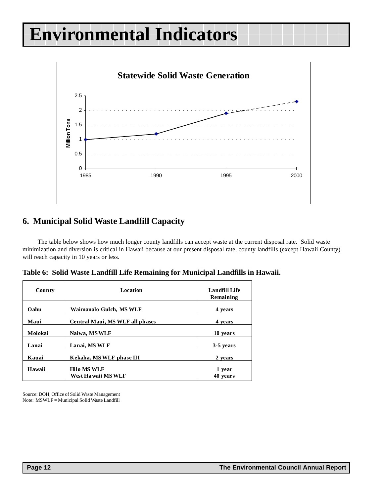

## **6. Municipal Solid Waste Landfill Capacity**

The table below shows how much longer county landfills can accept waste at the current disposal rate. Solid waste minimization and diversion is critical in Hawaii because at our present disposal rate, county landfills (except Hawaii County) will reach capacity in 10 years or less.

**Table 6: Solid Waste Landfill Life Remaining for Municipal Landfills in Hawaii.**

| <b>County</b> | Location                                  | <b>Landfill Life</b><br>Remaining |
|---------------|-------------------------------------------|-----------------------------------|
| Oahu          | Waimanalo Gulch, MS WLF                   | 4 years                           |
| Maui          | Central Maui, MS WLF all phases           | 4 years                           |
| Molokai       | Naiwa, MSWLF                              | 10 years                          |
| Lanai         | Lanai, MS WLF                             | 3-5 years                         |
| Kauai         | Kekaha, MS WLF phase III                  | 2 years                           |
| Hawaii        | <b>Hilo MS WLF</b><br>West Ha waii MS WLF | 1 year<br>40 years                |

Source: DOH, Office of Solid Waste Management Note: MSWLF = Municipal Solid Waste Landfill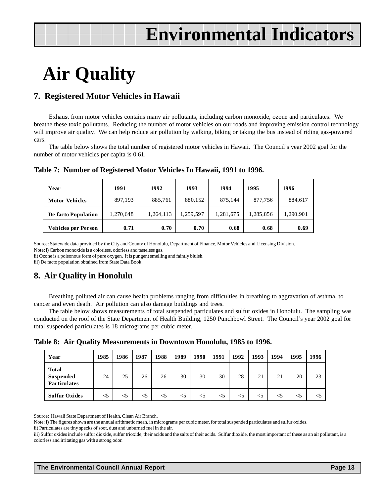## **Air Quality**

## **7. Registered Motor Vehicles in Hawaii**

Exhaust from motor vehicles contains many air pollutants, including carbon monoxide, ozone and particulates. We breathe these toxic pollutants. Reducing the number of motor vehicles on our roads and improving emission control technology will improve air quality. We can help reduce air pollution by walking, biking or taking the bus instead of riding gas-powered cars.

The table below shows the total number of registered motor vehicles in Hawaii. The Council's year 2002 goal for the number of motor vehicles per capita is 0.61.

| Year                       | 1991      | 1992      | 1993      | 1994      | 1995     | 1996      |
|----------------------------|-----------|-----------|-----------|-----------|----------|-----------|
| <b>Motor Vehicles</b>      | 897,193   | 885,761   | 880,152   | 875,144   | 877,756  | 884,617   |
| De facto Population        | 1,270,648 | 1,264,113 | 1.259.597 | 1,281,675 | .285,856 | 1,290,901 |
| <b>Vehicles per Person</b> | 0.71      | 0.70      | 0.70      | 0.68      | 0.68     | 0.69      |

### **Table 7: Number of Registered Motor Vehicles In Hawaii, 1991 to 1996.**

Source: Statewide data provided by the City and County of Honolulu, Department of Finance, Motor Vehicles and Licensing Division.

Note: i) Carbon monoxide is a colorless, odorless and tasteless gas.

ii) Ozone is a poisonous form of pure oxygen. It is pungent smelling and faintly bluish.

iii) De facto population obtained from State Data Book.

## **8. Air Quality in Honolulu**

Breathing polluted air can cause health problems ranging from difficulties in breathing to aggravation of asthma, to cancer and even death. Air pollution can also damage buildings and trees.

The table below shows measurements of total suspended particulates and sulfur oxides in Honolulu. The sampling was conducted on the roof of the State Department of Health Building, 1250 Punchbowl Street. The Council's year 2002 goal for total suspended particulates is 18 micrograms per cubic meter.

**Table 8: Air Quality Measurements in Downtown Honolulu, 1985 to 1996.**

| Year                                             | 1985  | 1986  | 1987  | 1988  | 1989  | 1990  | 1991  | 1992  | 1993  | 1994  | 1995  | 1996 |
|--------------------------------------------------|-------|-------|-------|-------|-------|-------|-------|-------|-------|-------|-------|------|
| <b>Total</b><br>Suspended<br><b>Particulates</b> | 24    | 25    | 26    | 26    | 30    | 30    | 30    | 28    | 21    | 21    | 20    | 23   |
| <b>Sulfur Oxides</b>                             | $<$ 5 | $<$ 5 | $<$ 5 | $<$ 5 | $<$ 5 | $<$ 5 | $<$ 5 | $<$ 5 | $<$ 5 | $<$ 5 | $<$ 5 |      |

Source: Hawaii State Department of Health, Clean Air Branch.

Note: i) The figures shown are the annual arithmetic mean, in micrograms per cubic meter, for total suspended particulates and sulfur oxides.

ii) Particulates are tiny specks of soot, dust and unburned fuel in the air.

iii) Sulfur oxides include sulfur dioxide, sulfur trioxide, their acids and the salts of their acids. Sulfur dioxide, the most important of these as an air pollutant, is a colorless and irritating gas with a strong odor.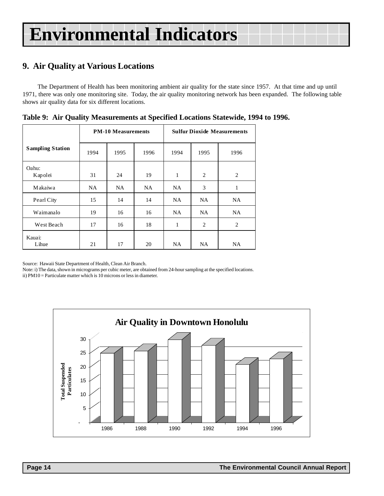## **9. Air Quality at Various Locations**

The Department of Health has been monitoring ambient air quality for the state since 1957. At that time and up until 1971, there was only one monitoring site. Today, the air quality monitoring network has been expanded. The following table shows air quality data for six different locations.

|                         |      | <b>PM-10 Measurements</b> |      | <b>Sulfur Dioxide Measurements</b> |                |                |  |
|-------------------------|------|---------------------------|------|------------------------------------|----------------|----------------|--|
| <b>Sampling Station</b> | 1994 | 1995                      | 1996 | 1994                               | 1995           | 1996           |  |
| Oahu:<br>Kapolei        | 31   | 24                        | 19   | 1                                  | $\overline{c}$ | $\overline{2}$ |  |
| Makaiwa                 | NA.  | NA.                       | NA.  | NA.                                | 3              | 1              |  |
| Pearl City              | 15   | 14                        | 14   | NA.                                | NA.            | <b>NA</b>      |  |
| Waimanalo               | 19   | 16                        | 16   | NA.                                | NA.            | <b>NA</b>      |  |
| West Beach              | 17   | 16                        | 18   | 1                                  | 2              | 2              |  |
| Kauai:<br>Lihue         | 21   | 17                        | 20   | <b>NA</b>                          | NA.            | <b>NA</b>      |  |

|  | Table 9: Air Quality Measurements at Specified Locations Statewide, 1994 to 1996. |  |
|--|-----------------------------------------------------------------------------------|--|
|  |                                                                                   |  |

Source: Hawaii State Department of Health, Clean Air Branch.

Note: i) The data, shown in micrograms per cubic meter, are obtained from 24-hour sampling at the specified locations.

ii) PM10 = Particulate matter which is 10 microns or less in diameter.

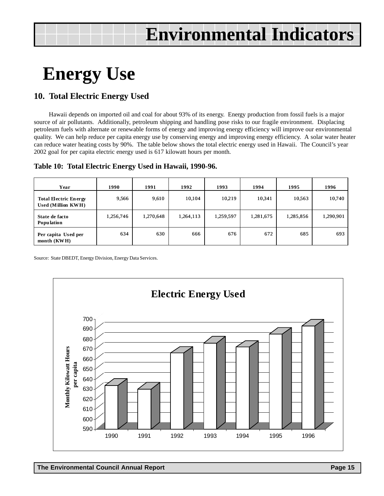## **Energy Use**

## **10. Total Electric Energy Used**

Hawaii depends on imported oil and coal for about 93% of its energy. Energy production from fossil fuels is a major source of air pollutants. Additionally, petroleum shipping and handling pose risks to our fragile environment. Displacing petroleum fuels with alternate or renewable forms of energy and improving energy efficiency will improve our environmental quality. We can help reduce per capita energy use by conserving energy and improving energy efficiency. A solar water heater can reduce water heating costs by 90%. The table below shows the total electric energy used in Hawaii. The Council's year 2002 goal for per capita electric energy used is 617 kilowatt hours per month.

|  |  |  | Table 10: Total Electric Energy Used in Hawaii, 1990-96. |
|--|--|--|----------------------------------------------------------|
|--|--|--|----------------------------------------------------------|

| Year                                               | 1990      | 1991      | 1992      | 1993      | 1994      | 1995      | 1996      |
|----------------------------------------------------|-----------|-----------|-----------|-----------|-----------|-----------|-----------|
| <b>Total Electric Energy</b><br>Used (Million KWH) | 9,566     | 9,610     | 10,104    | 10,219    | 10,341    | 10.563    | 10,740    |
| State de facto<br><b>Population</b>                | 1,256,746 | 1,270,648 | 1,264,113 | 1,259,597 | 1,281,675 | 1,285,856 | 1,290,901 |
| Per capita Used per<br>month $(KWH)$               | 634       | 630       | 666       | 676       | 672       | 685       | 693       |

Source: State DBEDT, Energy Division, Energy Data Services.

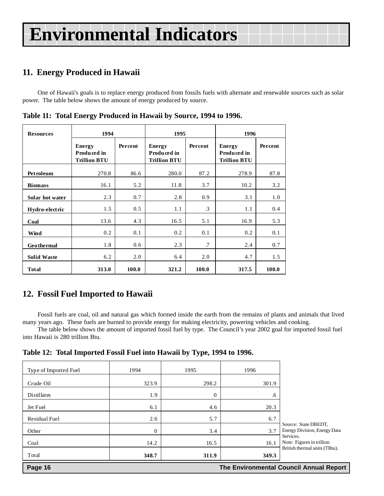## **11. Energy Produced in Hawaii**

One of Hawaii's goals is to replace energy produced from fossils fuels with alternate and renewable sources such as solar power. The table below shows the amount of energy produced by source.

| <b>Resources</b>   | 1994                                                |         | 1995                                                |           | 1996                                                |         |
|--------------------|-----------------------------------------------------|---------|-----------------------------------------------------|-----------|-----------------------------------------------------|---------|
|                    | <b>Energy</b><br>Produced in<br><b>Trillion BTU</b> | Percent | <b>Energy</b><br>Produced in<br><b>Trillion BTU</b> | Percent   | <b>Energy</b><br>Produced in<br><b>Trillion BTU</b> | Percent |
| <b>Petroleum</b>   | 270.8                                               | 86.6    | 280.0                                               | 87.2      | 278.9                                               | 87.8    |
| <b>Biomass</b>     | 16.1                                                | 5.2     | 11.8                                                | 3.7       | 10.2                                                | 3.2     |
| Solar hot water    | 2.3                                                 | 0.7     | 2.8                                                 | 0.9       | 3.1                                                 | 1.0     |
| Hydro-electric     | 1.5                                                 | 0.5     | 1.1                                                 | $\cdot$ 3 | 1.1                                                 | 0.4     |
| Coal               | 13.6                                                | 4.3     | 16.5                                                | 5.1       | 16.9                                                | 5.3     |
| Wind               | 0.2                                                 | 0.1     | 0.2                                                 | 0.1       | 0.2                                                 | 0.1     |
| <b>Geothermal</b>  | 1.8                                                 | 0.6     | 2.3                                                 | .7        | 2.4                                                 | 0.7     |
| <b>Solid Waste</b> | 6.2                                                 | 2.0     | 6.4                                                 | 2.0       | 4.7                                                 | 1.5     |
| <b>Total</b>       | 313.0                                               | 100.0   | 321.2                                               | 100.0     | 317.5                                               | 100.0   |

**Table 11: Total Energy Produced in Hawaii by Source, 1994 to 1996.**

## **12. Fossil Fuel Imported to Hawaii**

Fossil fuels are coal, oil and natural gas which formed inside the earth from the remains of plants and animals that lived many years ago. These fuels are burned to provide energy for making electricity, powering vehicles and cooking.

The table below shows the amount of imported fossil fuel by type. The Council's year 2002 goal for imported fossil fuel into Hawaii is 280 trillion Btu.

|  |  |  | Table 12: Total Imported Fossil Fuel into Hawaii by Type, 1994 to 1996. |  |
|--|--|--|-------------------------------------------------------------------------|--|
|--|--|--|-------------------------------------------------------------------------|--|

| Page 16<br>The Environmental Council Annual Report |          |                |       |                                                                          |  |
|----------------------------------------------------|----------|----------------|-------|--------------------------------------------------------------------------|--|
| Total                                              | 348.7    | 311.9          | 349.3 |                                                                          |  |
| Coal                                               | 14.2     | 16.5           | 16.1  | Note: Figures in trillion<br>British thermal units (TBtu).               |  |
| Other                                              | $\theta$ | 3.4            | 3.7   | Source: State DBEDT,<br><b>Energy Division, Energy Data</b><br>Services. |  |
| Residual Fuel                                      | 2.6      | 5.7            | 6.7   |                                                                          |  |
| Jet Fuel                                           | 6.1      | 4.6            | 20.3  |                                                                          |  |
| Distillates                                        | 1.9      | $\overline{0}$ | .6    |                                                                          |  |
| Crude Oil                                          | 323.9    | 298.2          | 301.9 |                                                                          |  |
| Type of Imported Fuel                              | 1994     | 1995           | 1996  |                                                                          |  |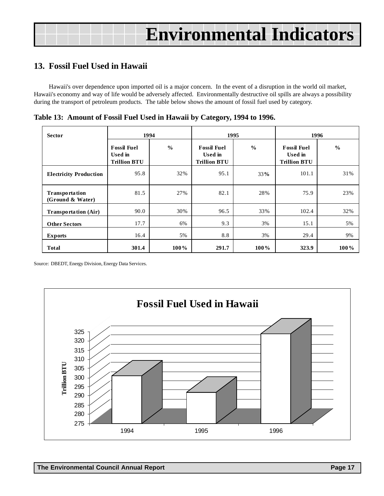## **13. Fossil Fuel Used in Hawaii**

Hawaii's over dependence upon imported oil is a major concern. In the event of a disruption in the world oil market, Hawaii's economy and way of life would be adversely affected. Environmentally destructive oil spills are always a possibility during the transport of petroleum products. The table below shows the amount of fossil fuel used by category.

**Table 13: Amount of Fossil Fuel Used in Hawaii by Category, 1994 to 1996.**

| <b>Sector</b>                             | 1994                                                 |               | 1995                                                 |               | 1996                                                 |               |
|-------------------------------------------|------------------------------------------------------|---------------|------------------------------------------------------|---------------|------------------------------------------------------|---------------|
|                                           | <b>Fossil Fuel</b><br>Used in<br><b>Trillion BTU</b> | $\frac{0}{0}$ | <b>Fossil Fuel</b><br>Used in<br><b>Trillion BTU</b> | $\frac{0}{0}$ | <b>Fossil Fuel</b><br>Used in<br><b>Trillion BTU</b> | $\frac{0}{0}$ |
| <b>Electricity Production</b>             | 95.8                                                 | 32%           | 95.1                                                 | 33%           | 101.1                                                | 31%           |
| <b>Transportation</b><br>(Ground & Water) | 81.5                                                 | 27%           | 82.1                                                 | 28%           | 75.9                                                 | 23%           |
| <b>Transportation (Air)</b>               | 90.0                                                 | 30%           | 96.5                                                 | 33%           | 102.4                                                | 32%           |
| <b>Other Sectors</b>                      | 17.7                                                 | 6%            | 9.3                                                  | 3%            | 15.1                                                 | 5%            |
| <b>Exports</b>                            | 16.4                                                 | 5%            | 8.8                                                  | 3%            | 29.4                                                 | 9%            |
| <b>Total</b>                              | 301.4                                                | $100\%$       | 291.7                                                | $100\%$       | 323.9                                                | $100\%$       |

Source: DBEDT, Energy Division, Energy Data Services.

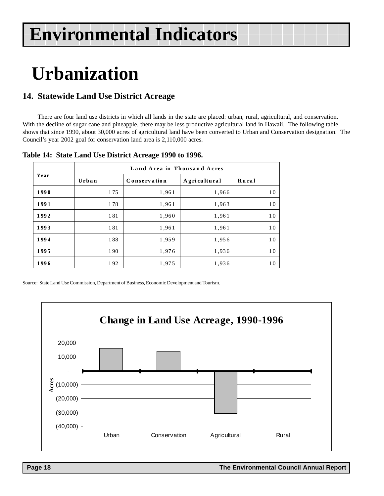## **Urbanization**

## **14. Statewide Land Use District Acreage**

There are four land use districts in which all lands in the state are placed: urban, rural, agricultural, and conservation. With the decline of sugar cane and pineapple, there may be less productive agricultural land in Hawaii. The following table shows that since 1990, about 30,000 acres of agricultural land have been converted to Urban and Conservation designation. The Council's year 2002 goal for conservation land area is 2,110,000 acres.

| Year | Land Area in Thousand Acres |              |              |       |  |  |  |  |  |
|------|-----------------------------|--------------|--------------|-------|--|--|--|--|--|
|      | Urban                       | Conservation | Agricultural | Rural |  |  |  |  |  |
| 1990 | 175                         | 1,961        | 1,966        | 10    |  |  |  |  |  |
| 1991 | 178                         | 1,961        | 1,963        | 10    |  |  |  |  |  |
| 1992 | 181                         | 1,960        | 1,961        | 10    |  |  |  |  |  |
| 1993 | 181                         | 1,961        | 1,961        | 10    |  |  |  |  |  |
| 1994 | 188                         | 1,959        | 1,956        | 10    |  |  |  |  |  |
| 1995 | 190                         | 1,976        | 1,936        | 10    |  |  |  |  |  |
| 1996 | 192                         | 1,975        | 1,936        | 10    |  |  |  |  |  |

## **Table 14: State Land Use District Acreage 1990 to 1996.**

Source: State Land Use Commission, Department of Business, Economic Development and Tourism.

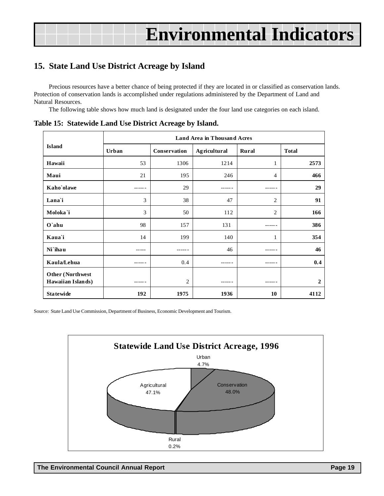## **15. State Land Use District Acreage by Island**

Precious resources have a better chance of being protected if they are located in or classified as conservation lands. Protection of conservation lands is accomplished under regulations administered by the Department of Land and Natural Resources.

The following table shows how much land is designated under the four land use categories on each island.

|                                       | <b>Land Area in Thousand Acres</b> |                |              |                |                |  |  |
|---------------------------------------|------------------------------------|----------------|--------------|----------------|----------------|--|--|
| <b>Island</b>                         | Urban                              | Conservation   | Agricultural | Rural          | <b>Total</b>   |  |  |
| Hawaii                                | 53                                 | 1306           | 1214         | 1              | 2573           |  |  |
| Maui                                  | 21                                 | 195            | 246          | 4              | 466            |  |  |
| Kaho`olawe                            |                                    | 29             |              |                | 29             |  |  |
| Lana'i                                | 3                                  | 38             | 47           | $\overline{2}$ | 91             |  |  |
| Moloka`i                              | 3                                  | 50             | 112          | $\overline{2}$ | 166            |  |  |
| $O$ `ahu                              | 98                                 | 157            | 131          | ------         | 386            |  |  |
| Kaua'i                                | 14                                 | 199            | 140          | 1              | 354            |  |  |
| Ni`ihau                               |                                    |                | 46           |                | 46             |  |  |
| Kaula/Lehua                           |                                    | 0.4            |              | ------         | 0.4            |  |  |
| Other (Northwest<br>Hawaiian Islands) |                                    | $\overline{c}$ |              | ------         | $\overline{2}$ |  |  |
| <b>Statewide</b>                      | 192                                | 1975           | 1936         | 10             | 4112           |  |  |

**Table 15: Statewide Land Use District Acreage by Island.**

Source: State Land Use Commission, Department of Business, Economic Development and Tourism.

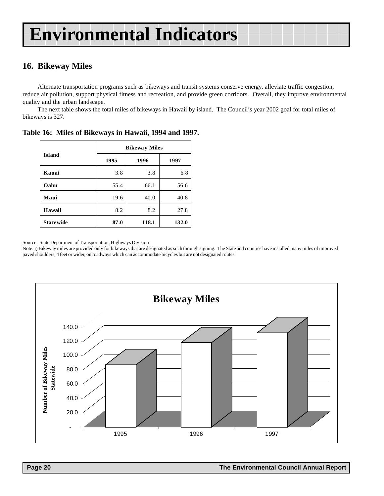## **16. Bikeway Miles**

Alternate transportation programs such as bikeways and transit systems conserve energy, alleviate traffic congestion, reduce air pollution, support physical fitness and recreation, and provide green corridors. Overall, they improve environmental quality and the urban landscape.

The next table shows the total miles of bikeways in Hawaii by island. The Council's year 2002 goal for total miles of bikeways is 327.

|                  | <b>Bikeway Miles</b> |       |       |  |  |
|------------------|----------------------|-------|-------|--|--|
| <b>Island</b>    | 1995                 | 1996  | 1997  |  |  |
| Kauai            | 3.8                  | 3.8   | 6.8   |  |  |
| Oahu             | 55.4                 | 66.1  | 56.6  |  |  |
| Maui             | 19.6                 | 40.0  | 40.8  |  |  |
| Hawaii           | 8.2                  | 8.2   | 27.8  |  |  |
| <b>Statewide</b> | 87.0                 | 118.1 | 132.0 |  |  |

**Table 16: Miles of Bikeways in Hawaii, 1994 and 1997.**

Source: State Department of Transportation, Highways Division

Note: i) Bikeway miles are provided only for bikeways that are designated as such through signing. The State and counties have installed many miles of improved paved shoulders, 4 feet or wider, on roadways which can accommodate bicycles but are not designated routes.

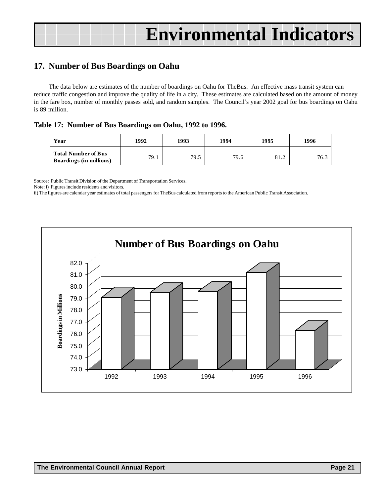## **17. Number of Bus Boardings on Oahu**

The data below are estimates of the number of boardings on Oahu for TheBus. An effective mass transit system can reduce traffic congestion and improve the quality of life in a city. These estimates are calculated based on the amount of money in the fare box, number of monthly passes sold, and random samples. The Council's year 2002 goal for bus boardings on Oahu is 89 million.

**Table 17: Number of Bus Boardings on Oahu, 1992 to 1996.**

| Year                                                         | 1992 | 1993 | 1994 | 1995 | 1996 |
|--------------------------------------------------------------|------|------|------|------|------|
| <b>Total Number of Bus</b><br><b>Boardings (in millions)</b> | 79.1 | 79.5 | 79.6 | 81.2 | 76.3 |

Source: Public Transit Division of the Department of Transportation Services.

Note: i) Figures include residents and visitors.

ii) The figures are calendar year estimates of total passengers for TheBus calculated from reports to the American Public Transit Association.

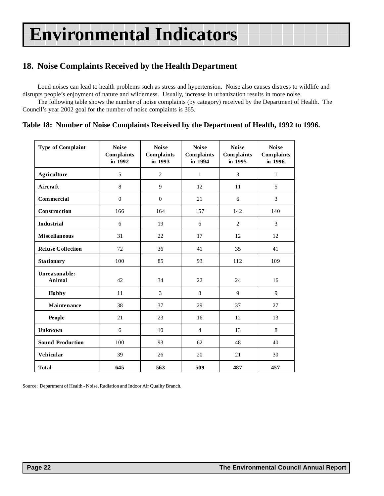## **18. Noise Complaints Received by the Health Department**

Loud noises can lead to health problems such as stress and hypertension. Noise also causes distress to wildlife and disrupts people's enjoyment of nature and wilderness. Usually, increase in urbanization results in more noise.

The following table shows the number of noise complaints (by category) received by the Department of Health. The Council's year 2002 goal for the number of noise complaints is 365.

## **Table 18: Number of Noise Complaints Received by the Department of Health, 1992 to 1996.**

| Type of Complaint        | <b>Noise</b><br><b>Complaints</b><br>in 1992 | <b>Noise</b><br><b>Complaints</b><br>in 1993 | <b>Noise</b><br><b>Complaints</b><br>in 1994 | <b>Noise</b><br><b>Complaints</b><br>in 1995 | <b>Noise</b><br><b>Complaints</b><br>in 1996 |
|--------------------------|----------------------------------------------|----------------------------------------------|----------------------------------------------|----------------------------------------------|----------------------------------------------|
| <b>Agriculture</b>       | 5                                            | $\overline{2}$                               | $\mathbf{1}$                                 | 3                                            | $\mathbf{1}$                                 |
| Aircraft                 | 8                                            | 9                                            | 12                                           | 11                                           | 5                                            |
| <b>Commercial</b>        | $\overline{0}$                               | $\mathbf{0}$                                 | 21                                           | 6                                            | 3                                            |
| Construction             | 166                                          | 164                                          | 157                                          | 142                                          | 140                                          |
| <b>Industrial</b>        | 6                                            | 19                                           | 6                                            | $\overline{2}$                               | 3                                            |
| <b>Miscellaneous</b>     | 31                                           | 22                                           | 17                                           | 12                                           | 12                                           |
| <b>Refuse Collection</b> | 72                                           | 36                                           | 41                                           | 35                                           | 41                                           |
| <b>Stationary</b>        | 100                                          | 85                                           | 93                                           | 112                                          | 109                                          |
| Unreasonable:<br>Animal  | 42                                           | 34                                           | 22                                           | 24                                           | 16                                           |
| <b>Hobby</b>             | 11                                           | 3                                            | 8                                            | 9                                            | 9                                            |
| Maintenance              | 38                                           | 37                                           | 29                                           | 37                                           | 27                                           |
| People                   | 21                                           | 23                                           | 16                                           | 12                                           | 13                                           |
| Unknown                  | 6                                            | 10                                           | $\overline{4}$                               | 13                                           | 8                                            |
| <b>Sound Production</b>  | 100                                          | 93                                           | 62                                           | 48                                           | 40                                           |
| Vehicular                | 39                                           | 26                                           | 20                                           | 21                                           | 30                                           |
| <b>Total</b>             | 645                                          | 563                                          | 509                                          | 487                                          | 457                                          |

Source: Department of Health - Noise, Radiation and Indoor Air Quality Branch.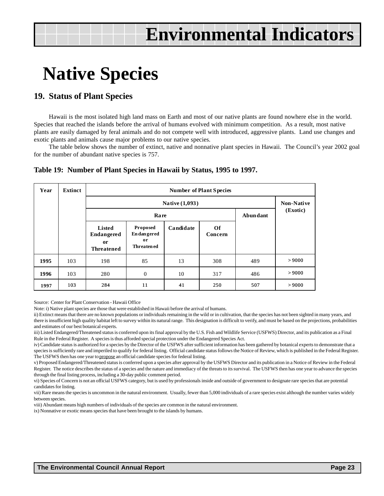## **Native Species**

## **19. Status of Plant Species**

Hawaii is the most isolated high land mass on Earth and most of our native plants are found nowhere else in the world. Species that reached the islands before the arrival of humans evolved with minimum competition. As a result, most native plants are easily damaged by feral animals and do not compete well with introduced, aggressive plants. Land use changes and exotic plants and animals cause major problems to our native species.

The table below shows the number of extinct, native and nonnative plant species in Hawaii. The Council's year 2002 goal for the number of abundant native species is 757.

| Year | <b>Extinct</b>                                                                                                                            | <b>Number of Plant Species</b> |                         |    |     |     |        |  |  |  |  |
|------|-------------------------------------------------------------------------------------------------------------------------------------------|--------------------------------|-------------------------|----|-----|-----|--------|--|--|--|--|
|      |                                                                                                                                           |                                | Native (1,093)          |    |     |     |        |  |  |  |  |
|      |                                                                                                                                           |                                | Abundant<br><b>Rare</b> |    |     |     |        |  |  |  |  |
|      | Proposed<br>Candidate<br>Of<br>Listed<br><b>Endangered</b><br>Endangered<br>Concern<br>or<br>or<br><b>Threatened</b><br><b>Threatened</b> |                                |                         |    |     |     |        |  |  |  |  |
| 1995 | 103                                                                                                                                       | 198                            | 85                      | 13 | 308 | 489 | > 9000 |  |  |  |  |
| 1996 | 103                                                                                                                                       | 280                            | $\theta$                | 10 | 317 | 486 | > 9000 |  |  |  |  |
| 1997 | 103                                                                                                                                       | 284                            | 11                      | 41 | 250 | 507 | > 9000 |  |  |  |  |

## **Table 19: Number of Plant Species in Hawaii by Status, 1995 to 1997.**

Source: Center for Plant Conservation - Hawaii Office

Note: i) Native plant species are those that were established in Hawaii before the arrival of humans.

ii) Extinct means that there are no known populations or individuals remaining in the wild or in cultivation, that the species has not been sighted in many years, and there is insufficient high quality habitat left to survey within its natural range. This designation is difficult to verify, and must be based on the projections, probabilities and estimates of our best botanical experts.

iii) Listed Endangered/Threatened status is conferred upon its final approval by the U.S. Fish and Wildlife Service (USFWS) Director, and its publication as a Final Rule in the Federal Register. A species is thus afforded special protection under the Endangered Species Act.

iv) Candidate status is authorized for a species by the Director of the USFWS after sufficient information has been gathered by botanical experts to demonstrate that a species is sufficiently rare and imperiled to qualify for federal listing. Official candidate status follows the Notice of Review, which is published in the Federal Register. The USFWS then has one year to propose an official candidate species for federal listing.

v) Proposed Endangered/Threatened status is conferred upon a species after approval by the USFWS Director and its publication in a Notice of Review in the Federal Register. The notice describes the status of a species and the nature and immediacy of the threats to its survival. The USFWS then has one year to advance the species through the final listing process, including a 30-day public comment period.

vi) Species of Concern is not an official USFWS category, but is used by professionals inside and outside of government to designate rare species that are potential candidates for listing.

vii) Rare means the species is uncommon in the natural environment. Usually, fewer than 5,000 individuals of a rare species exist although the number varies widely between species.

viii) Abundant means high numbers of individuals of the species are common in the natural environment.

ix) Nonnative or exotic means species that have been brought to the islands by humans.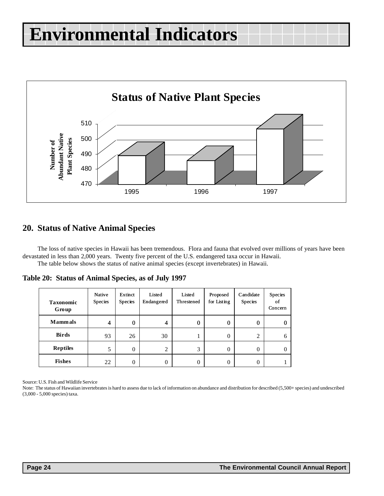

## **20. Status of Native Animal Species**

The loss of native species in Hawaii has been tremendous. Flora and fauna that evolved over millions of years have been devastated in less than 2,000 years. Twenty five percent of the U.S. endangered taxa occur in Hawaii. The table below shows the status of native animal species (except invertebrates) in Hawaii.

**Table 20: Status of Animal Species, as of July 1997**

| <b>Taxonomic</b><br>Group | Native<br>Species | Extinct<br><b>Species</b> | Listed<br>Endangered | Listed<br>Threstened | Proposed<br>for Listing | Candidate<br>Species | Species<br>of<br>Concern |
|---------------------------|-------------------|---------------------------|----------------------|----------------------|-------------------------|----------------------|--------------------------|
| <b>Mammals</b>            | 4                 | 0                         | 4                    | 0                    | $\bf{0}$                | $\mathbf{0}$         |                          |
| <b>Birds</b>              | 93                | 26                        | 30                   |                      | $\theta$                | 2                    |                          |
| <b>Reptiles</b>           | 5                 | 0                         | 2                    | 3                    | $\theta$                | $\Omega$             |                          |
| <b>Fishes</b>             | 22                | 0                         | 0                    | 0                    | $\theta$                | $\theta$             |                          |

Source: U.S. Fish and Wildlife Service

Note: The status of Hawaiian invertebrates is hard to assess due to lack of information on abundance and distribution for described (5,500+ species) and undescribed (3,000 - 5,000 species) taxa.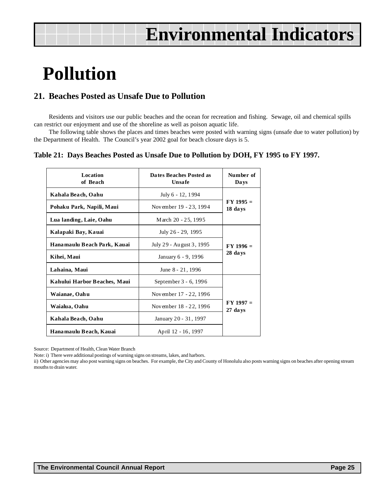## **Pollution**

## **21. Beaches Posted as Unsafe Due to Pollution**

Residents and visitors use our public beaches and the ocean for recreation and fishing. Sewage, oil and chemical spills can restrict our enjoyment and use of the shoreline as well as poison aquatic life.

The following table shows the places and times beaches were posted with warning signs (unsafe due to water pollution) by the Department of Health. The Council's year 2002 goal for beach closure days is 5.

## **Table 21: Days Beaches Posted as Unsafe Due to Pollution by DOH, FY 1995 to FY 1997.**

| Location<br>of Beach         | Dates Beaches Posted as<br><b>Unsafe</b> | Number of<br>Da ys       |  |
|------------------------------|------------------------------------------|--------------------------|--|
| Kahala Beach, Oahu           | July 6 - 12, 1994                        |                          |  |
| Pohaku Park, Napili, Maui    | November 19 - 23, 1994                   | $FY$ 1995 $=$<br>18 days |  |
| Lua landing, Laie, Oahu      | March 20 - 25, 1995                      |                          |  |
| Kalapaki Bay, Kauai          | July 26 - 29, 1995                       |                          |  |
| Hanamaulu Beach Park, Kauai  | July 29 - August 3, 1995                 | $FY 1996 =$<br>28 days   |  |
| Kihei, Maui                  | January 6 - 9, 1996                      |                          |  |
| Lahaina, Maui                | June 8 - 21, 1996                        |                          |  |
| Kahului Harbor Beaches, Maui | September 3 - 6, 1996                    |                          |  |
| Waianae, Oahu                | November 17 - 22, 1996                   | $FY 1997 =$<br>27 days   |  |
| Waialua, Oahu                | November 18 - 22, 1996                   |                          |  |
| Kahala Beach, Oahu           | January 20 - 31, 1997                    |                          |  |
| Hanamaulu Beach, Kauai       | April 12 - 16, 1997                      |                          |  |

Source: Department of Health, Clean Water Branch

Note: i) There were additional postings of warning signs on streams, lakes, and harbors.

ii) Other agencies may also post warning signs on beaches. For example, the City and County of Honolulu also posts warning signs on beaches after opening stream mouths to drain water.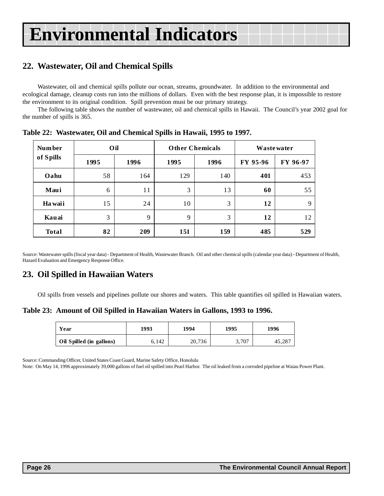## **22. Wastewater, Oil and Chemical Spills**

Wastewater, oil and chemical spills pollute our ocean, streams, groundwater. In addition to the environmental and ecological damage, cleanup costs run into the millions of dollars. Even with the best response plan, it is impossible to restore the environment to its original condition. Spill prevention must be our primary strategy.

The following table shows the number of wastewater, oil and chemical spills in Hawaii. The Council's year 2002 goal for the number of spills is 365.

| <b>Number</b> | Oil  |      |      | <b>Other Chemicals</b> | <b>Wastewater</b> |             |  |
|---------------|------|------|------|------------------------|-------------------|-------------|--|
| of Spills     | 1995 | 1996 | 1995 | 1996                   | FY 95-96          | FY 96-97    |  |
| Oahu          | 58   | 164  | 129  | 140                    | 401               | 453         |  |
| Maui          | 6    | 11   | 3    | 13                     | 60                | 55          |  |
| Ha waii       | 15   | 24   | 10   | 3                      | 12                | $\mathbf Q$ |  |
| Kauai         | 3    | 9    | 9    | 3                      | 12                | 12          |  |
| <b>Total</b>  | 82   | 209  | 151  | 159                    | 485               | 529         |  |

**Table 22: Wastewater, Oil and Chemical Spills in Hawaii, 1995 to 1997.**

Source: Wastewater spills (fiscal year data) - Department of Health, Wastewater Branch. Oil and other chemical spills (calendar year data) - Department of Health, Hazard Evaluation and Emergency Response Office.

## **23. Oil Spilled in Hawaiian Waters**

Oil spills from vessels and pipelines pollute our shores and waters. This table quantifies oil spilled in Hawaiian waters.

**Table 23: Amount of Oil Spilled in Hawaiian Waters in Gallons, 1993 to 1996.**

| Year                     | 1993  | 1994   | 1995  | 1996  |  |
|--------------------------|-------|--------|-------|-------|--|
| Oil Spilled (in gallons) | 6.142 | 20,736 | 3,707 | 45,28 |  |

Source: Commanding Officer, United States Coast Guard, Marine Safety Office, Honolulu

Note: On May 14, 1996 approximately 39,000 gallons of fuel oil spilled into Pearl Harbor. The oil leaked from a corroded pipeline at Waiau Power Plant.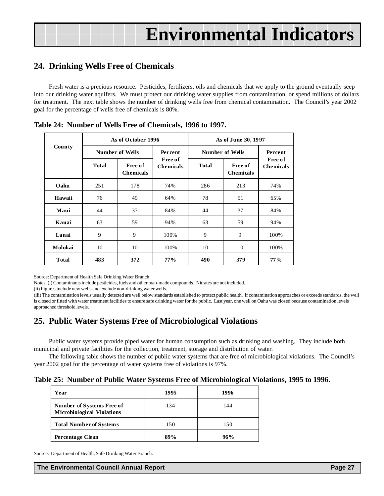## **24. Drinking Wells Free of Chemicals**

Fresh water is a precious resource. Pesticides, fertilizers, oils and chemicals that we apply to the ground eventually seep into our drinking water aquifers. We must protect our drinking water supplies from contamination, or spend millions of dollars for treatment. The next table shows the number of drinking wells free from chemical contamination. The Council's year 2002 goal for the percentage of wells free of chemicals is 80%.

|               |              | As of October 1996          |                                    | As of June 30, 1997 |                             |                                    |  |
|---------------|--------------|-----------------------------|------------------------------------|---------------------|-----------------------------|------------------------------------|--|
| <b>County</b> |              | Number of Wells             | Percent                            |                     | Number of Wells<br>Percent  |                                    |  |
|               | <b>Total</b> | Free of<br><b>Chemicals</b> | <b>Free of</b><br><b>Chemicals</b> | <b>Total</b>        | Free of<br><b>Chemicals</b> | <b>Free of</b><br><b>Chemicals</b> |  |
| Oahu          | 251          | 178                         | 74%                                | 286                 | 213                         | 74%                                |  |
| Hawaii        | 76           | 49                          | 64%                                | 78                  | 51                          | 65%                                |  |
| Maui          | 44           | 37                          | 84%                                | 44                  | 37                          | 84%                                |  |
| Kauai         | 63           | 59<br>94%                   |                                    | 63                  | 59                          | 94%                                |  |
| Lanai         | 9<br>9       |                             | 100%                               | 9                   | 9                           | 100%                               |  |
| Molokai       | 10<br>10     |                             | 100%                               | 10                  | 10                          | 100%                               |  |
| <b>Total</b>  | 483<br>372   |                             | $77\%$                             | 490                 | 379                         | $77\%$                             |  |

|  |  |  |  |  |  | Table 24: Number of Wells Free of Chemicals, 1996 to 1997. |
|--|--|--|--|--|--|------------------------------------------------------------|
|--|--|--|--|--|--|------------------------------------------------------------|

Source: Department of Health Safe Drinking Water Branch

Notes: (i) Contaminants include pesticides, fuels and other man-made compounds. Nitrates are not included.

(ii) Figures include new wells and exclude non-drinking water wells.

(iii) The contamination levels usually detected are well below standards established to protect public health. If contamination approaches or exceeds standards, the well is closed or fitted with water treatment facilities to ensure safe drinking water for the public. Last year, one well on Oahu was closed because contamination levels approached threshold levels.

## **25. Public Water Systems Free of Microbiological Violations**

Public water systems provide piped water for human consumption such as drinking and washing. They include both municipal and private facilities for the collection, treatment, storage and distribution of water.

The following table shows the number of public water systems that are free of microbiological violations. The Council's year 2002 goal for the percentage of water systems free of violations is 97%.

|  |  |  |  | Table 25: Number of Public Water Systems Free of Microbiological Violations, 1995 to 1996. |  |
|--|--|--|--|--------------------------------------------------------------------------------------------|--|
|  |  |  |  |                                                                                            |  |

| Year                                                                  | 1995 | 1996 |
|-----------------------------------------------------------------------|------|------|
| <b>Number of Systems Free of</b><br><b>Microbiological Violations</b> | 134  | 144  |
| <b>Total Number of Systems</b>                                        | 150  | 150  |
| Percentage Clean                                                      | 89%  | 96%  |

Source: Department of Health, Safe Drinking Water Branch.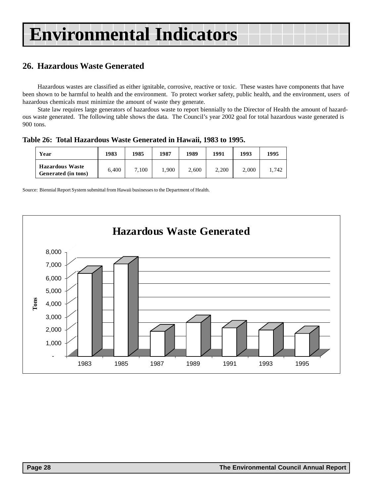## **26. Hazardous Waste Generated**

Hazardous wastes are classified as either ignitable, corrosive, reactive or toxic. These wastes have components that have been shown to be harmful to health and the environment. To protect worker safety, public health, and the environment, users of hazardous chemicals must minimize the amount of waste they generate.

State law requires large generators of hazardous waste to report biennially to the Director of Health the amount of hazardous waste generated. The following table shows the data. The Council's year 2002 goal for total hazardous waste generated is 900 tons.

**Table 26: Total Hazardous Waste Generated in Hawaii, 1983 to 1995.**

| Year                                          | 1983  | 1985  | 1987  | 1989  | 1991  | 1993  | 1995  |
|-----------------------------------------------|-------|-------|-------|-------|-------|-------|-------|
| <b>Hazardous Waste</b><br>Generated (in tons) | 6.400 | 7.100 | 1.900 | 2,600 | 2,200 | 2.000 | 1.742 |

Source: Biennial Report System submittal from Hawaii businesses to the Department of Health.

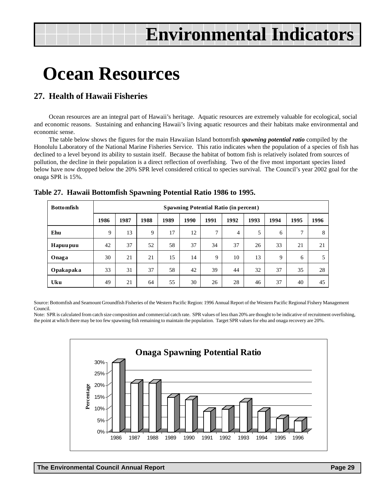## **Ocean Resources**

## **27. Health of Hawaii Fisheries**

Ocean resources are an integral part of Hawaii's heritage. Aquatic resources are extremely valuable for ecological, social and economic reasons. Sustaining and enhancing Hawaii's living aquatic resources and their habitats make environmental and economic sense.

The table below shows the figures for the main Hawaiian Island bottomfish *spawning potential ratio* compiled by the Honolulu Laboratory of the National Marine Fisheries Service. This ratio indicates when the population of a species of fish has declined to a level beyond its ability to sustain itself. Because the habitat of bottom fish is relatively isolated from sources of pollution, the decline in their population is a direct reflection of overfishing. Two of the five most important species listed below have now dropped below the 20% SPR level considered critical to species survival. The Council's year 2002 goal for the onaga SPR is 15%.

| <b>Bottomfish</b> |      | <b>Spawning Potential Ratio (in percent)</b>                                 |    |    |    |              |                |    |    |              |    |
|-------------------|------|------------------------------------------------------------------------------|----|----|----|--------------|----------------|----|----|--------------|----|
|                   | 1986 | 1987<br>1988<br>1989<br>1990<br>1991<br>1992<br>1993<br>1994<br>1995<br>1996 |    |    |    |              |                |    |    |              |    |
| Ehu               | 9    | 13                                                                           | 9  | 17 | 12 | $\mathbf{r}$ | $\overline{4}$ | 5  | 6  | $\mathbf{r}$ | 8  |
| <b>Hapuupuu</b>   | 42   | 37                                                                           | 52 | 58 | 37 | 34           | 37             | 26 | 33 | 21           | 21 |
| Onaga             | 30   | 21                                                                           | 21 | 15 | 14 | 9            | 10             | 13 | 9  | 6            | 5  |
| Opakapaka         | 33   | 31                                                                           | 37 | 58 | 42 | 39           | 44             | 32 | 37 | 35           | 28 |
| Uku               | 49   | 21                                                                           | 64 | 55 | 30 | 26           | 28             | 46 | 37 | 40           | 45 |

### **Table 27. Hawaii Bottomfish Spawning Potential Ratio 1986 to 1995.**

Source: Bottomfish and Seamount Groundfish Fisheries of the Western Pacific Region: 1996 Annual Report of the Western Pacific Regional Fishery Management Council.

Note: SPR is calculated from catch size composition and commercial catch rate. SPR values of less than 20% are thought to be indicative of recruitment overfishing, the point at which there may be too few spawning fish remaining to maintain the population. Target SPR values for ehu and onaga recovery are 20%.

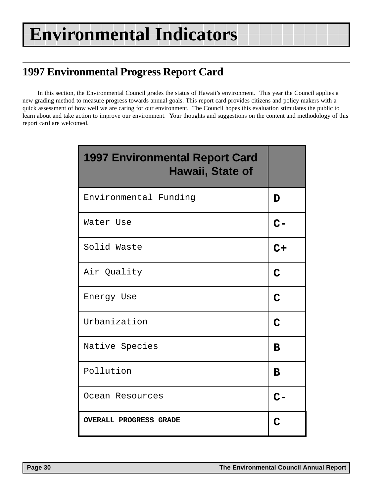## **1997 Environmental Progress Report Card**

In this section, the Environmental Council grades the status of Hawaii's environment. This year the Council applies a new grading method to measure progress towards annual goals. This report card provides citizens and policy makers with a quick assessment of how well we are caring for our environment. The Council hopes this evaluation stimulates the public to learn about and take action to improve our environment. Your thoughts and suggestions on the content and methodology of this report card are welcomed.

| <b>1997 Environmental Report Card</b><br>Hawaii, State of |             |
|-----------------------------------------------------------|-------------|
| Environmental Funding                                     | D           |
| Water Use                                                 | $C-$        |
| Solid Waste                                               | $C+$        |
| Air Quality                                               | $\mathbf C$ |
| Energy Use                                                | $\mathbf C$ |
| Urbanization                                              | $\mathbf C$ |
| Native Species                                            | B           |
| Pollution                                                 | B           |
| Ocean Resources                                           |             |
| <b>OVERALL PROGRESS GRADE</b>                             |             |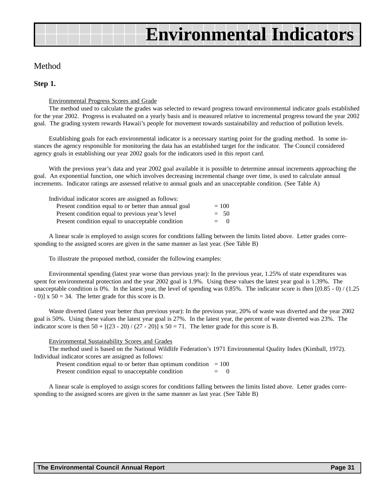## Method

### **Step 1.**

Environmental Progress Scores and Grade

The method used to calculate the grades was selected to reward progress toward environmental indicator goals established for the year 2002. Progress is evaluated on a yearly basis and is measured relative to incremental progress toward the year 2002 goal. The grading system rewards Hawaii's people for movement towards sustainability and reduction of pollution levels.

Establishing goals for each environmental indicator is a necessary starting point for the grading method. In some instances the agency responsible for monitoring the data has an established target for the indicator. The Council considered agency goals in establishing our year 2002 goals for the indicators used in this report card.

With the previous year's data and year 2002 goal available it is possible to determine annual increments approaching the goal. An exponential function, one which involves decreasing incremental change over time, is used to calculate annual increments. Indicator ratings are assessed relative to annual goals and an unacceptable condition. (See Table A)

| Individual indicator scores are assigned as follows:  |         |
|-------------------------------------------------------|---------|
| Present condition equal to or better than annual goal | $= 100$ |
| Present condition equal to previous year's level      | $= 50$  |
| Present condition equal to unacceptable condition     | $= 0$   |

A linear scale is employed to assign scores for conditions falling between the limits listed above. Letter grades corresponding to the assigned scores are given in the same manner as last year. (See Table B)

To illustrate the proposed method, consider the following examples:

Environmental spending (latest year worse than previous year): In the previous year, 1.25% of state expenditures was spent for environmental protection and the year 2002 goal is 1.9%. Using these values the latest year goal is 1.39%. The unacceptable condition is 0%. In the latest year, the level of spending was  $0.85\%$ . The indicator score is then  $[(0.85 - 0) / (1.25$  $-$  0)] x 50 = 34. The letter grade for this score is D.

Waste diverted (latest year better than previous year): In the previous year, 20% of waste was diverted and the year 2002 goal is 50%. Using these values the latest year goal is 27%. In the latest year, the percent of waste diverted was 23%. The indicator score is then  $50 + [(23 - 20) / (27 - 20)] \times 50 = 71$ . The letter grade for this score is B.

Environmental Sustainability Scores and Grades

The method used is based on the National Wildlife Federation's 1971 Environmental Quality Index (Kimball, 1972). Individual indicator scores are assigned as follows:

Present condition equal to or better than optimum condition  $= 100$ 

Present condition equal to unacceptable condition  $= 0$ 

A linear scale is employed to assign scores for conditions falling between the limits listed above. Letter grades corresponding to the assigned scores are given in the same manner as last year. (See Table B)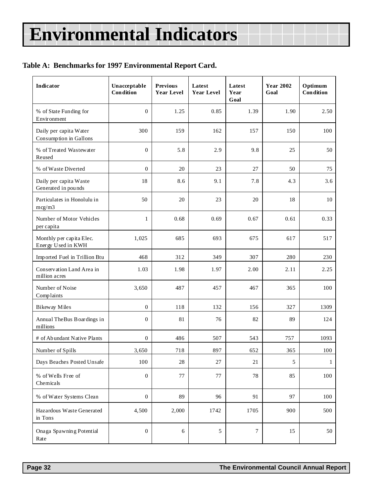## **Table A: Benchmarks for 1997 Environmental Report Card.**

| <b>Indicator</b>                                 | Unacceptable<br>Condition | <b>Previous</b><br><b>Year Level</b> | Latest<br><b>Year Level</b> | Latest<br>Year<br>Goal | <b>Year 2002</b><br>Goal | Optimum<br>Condition |
|--------------------------------------------------|---------------------------|--------------------------------------|-----------------------------|------------------------|--------------------------|----------------------|
| % of State Funding for<br>Environment            | $\overline{0}$            | 1.25                                 | 0.85                        | 1.39                   | 1.90                     | 2.50                 |
| Daily per capita Water<br>Consumption in Gallons | 300                       | 159                                  | 162                         | 157                    | 150                      | 100                  |
| % of Treated Wastewater<br>Reused                | $\boldsymbol{0}$          | 5.8                                  | 2.9                         | 9.8                    | 25                       | 50                   |
| % of Waste Diverted                              | $\boldsymbol{0}$          | 20                                   | 23                          | 27                     | 50                       | 75                   |
| Daily per capita Waste<br>Generated in pounds    | 18                        | 8.6                                  | 9.1                         | 7.8                    | 4.3                      | 3.6                  |
| Particulates in Honolulu in<br>mcg/m3            | 50                        | 20                                   | 23                          | 20                     | 18                       | 10                   |
| Number of Motor Vehicles<br>per capita           | $\mathbf{1}$              | 0.68                                 | 0.69                        | 0.67                   | 0.61                     | 0.33                 |
| Monthly per capita Elec.<br>Energy Used in KWH   | 1,025                     | 685                                  | 693                         | 675                    | 617                      | 517                  |
| Imported Fuel in Trillion Btu                    | 468                       | 312                                  | 349                         | 307                    | 280                      | 230                  |
| Conservation Land Area in<br>million acres       | 1.03                      | 1.98                                 | 1.97                        | 2.00                   | 2.11                     | 2.25                 |
| Number of Noise<br>Complaints                    | 3,650                     | 487                                  | 457                         | 467                    | 365                      | 100                  |
| <b>Bikeway Miles</b>                             | $\overline{0}$            | 118                                  | 132                         | 156                    | 327                      | 1309                 |
| Annual TheBus Boardings in<br>millions           | $\boldsymbol{0}$          | 81                                   | 76                          | 82                     | 89                       | 124                  |
| # of Abundant Native Plants                      | $\boldsymbol{0}$          | 486                                  | 507                         | 543                    | 757                      | 1093                 |
| Number of Spills                                 | 3,650                     | 718                                  | 897                         | 652                    | 365                      | 100                  |
| Days Beaches Posted Unsafe                       | 100                       | $28\,$                               | $27\,$                      | 21                     | 5                        | $\mathbf{1}$         |
| % of Wells Free of<br>Chemicals                  | $\boldsymbol{0}$          | 77                                   | 77                          | 78                     | 85                       | 100                  |
| % of Water Systems Clean                         | $\boldsymbol{0}$          | 89                                   | 96                          | 91                     | 97                       | 100                  |
| Hazardous Waste Generated<br>in Tons             | 4,500                     | 2,000                                | 1742                        | 1705                   | 900                      | 500                  |
| Onaga Spawning Potential<br>Rate                 | $\boldsymbol{0}$          | $\sqrt{6}$                           | $\sqrt{5}$                  | $\boldsymbol{7}$       | 15                       | 50                   |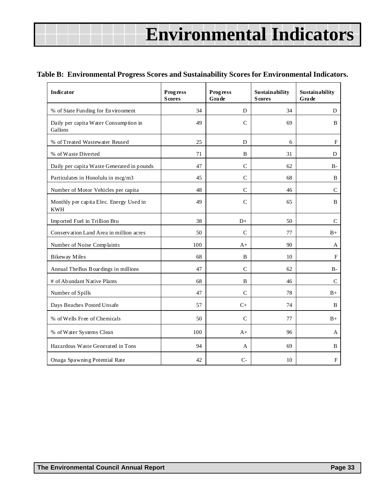## **Table B: Environmental Progress Scores and Sustainability Scores for Environmental Indicators.**

| Indicator                                             | <b>Progress</b><br><b>Scores</b> | <b>Progress</b><br>Grade | Sustainability<br><b>Scores</b> | Sustainability<br>Grade |
|-------------------------------------------------------|----------------------------------|--------------------------|---------------------------------|-------------------------|
| % of State Funding for Environment                    | 34                               | D                        | 34                              | D                       |
| Daily per capita Water Consumption in<br>Gallons      | 49                               | $\mathsf{C}$             | 69                              | B                       |
| % of Treated Wastewater Reused                        | 25                               | D                        | 6                               | $_{\rm F}$              |
| % of Waste Diverted                                   | 71                               | B                        | 31                              | D                       |
| Daily per capita Waste Generated in pounds            | 47                               | $\mathsf{C}$             | 62                              | $B-$                    |
| Particulates in Honolulu in mcg/m3                    | 45                               | $\mathsf{C}$             | 68                              | B                       |
| Number of Motor Vehicles per capita                   | 48                               | $\mathsf{C}$             | 46                              | $\mathsf{C}$            |
| Monthly per capita Elec. Energy Used in<br><b>KWH</b> | 49                               | $\mathsf{C}$             | 65                              | $\mathbf B$             |
| Imported Fuel in Trillion Btu                         | 38                               | $D+$                     | 50                              | $\mathcal{C}$           |
| Conservation Land Area in million acres               | 50                               | $\mathbf C$              | 77                              | $_{\rm B+}$             |
| Number of Noise Complaints                            | 100                              | $A+$                     | 90                              | A                       |
| Bikeway Miles                                         | 68                               | B                        | 10                              | $\mathbf F$             |
| Annual The Bus Boardings in millions                  | 47                               | $\mathcal{C}$            | 62                              | $B -$                   |
| # of Abundant Native Plants                           | 68                               | B                        | 46                              | $\mathcal{C}$           |
| Number of Spills                                      | 47                               | $\mathcal{C}$            | 78                              | $_{\rm B+}$             |
| Days Beaches Posted Unsafe                            | 57                               | $C+$                     | 74                              | B                       |
| % of Wells Free of Chemicals                          | 50                               | $\mathcal{C}$            | 77                              | $B+$                    |
| % of Water Systems Clean                              | 100                              | $A+$                     | 96                              | A                       |
| Hazardous Waste Generated in Tons                     | 94                               | A                        | 69                              | B                       |
| Onaga Spawning Potential Rate                         | 42                               | $C-$                     | 10                              | ${\bf F}$               |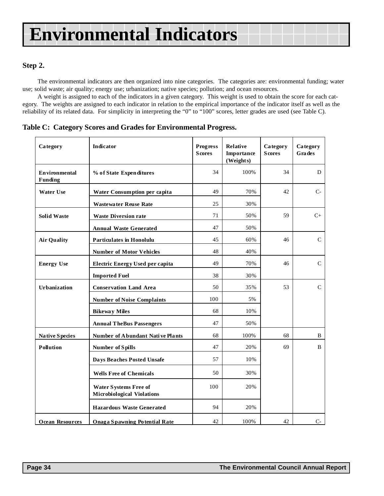## **Step 2.**

The environmental indicators are then organized into nine categories. The categories are: environmental funding; water use; solid waste; air quality; energy use; urbanization; native species; pollution; and ocean resources.

A weight is assigned to each of the indicators in a given category. This weight is used to obtain the score for each category. The weights are assigned to each indicator in relation to the empirical importance of the indicator itself as well as the reliability of its related data. For simplicity in interpreting the "0" to "100" scores, letter grades are used (see Table C).

**Table C: Category Scores and Grades for Environmental Progress.**

| Category                        | Indicator                                                         | <b>Progress</b><br><b>Scores</b> | Relative<br>Importance<br>(Weights) | Category<br><b>Scores</b> | Category<br>Grades |
|---------------------------------|-------------------------------------------------------------------|----------------------------------|-------------------------------------|---------------------------|--------------------|
| <b>Environmental</b><br>Funding | % of State Expenditures                                           | 34                               | 100%                                | 34                        | D                  |
| <b>Water Use</b>                | Water Consumption per capita                                      | 49                               | 70%                                 | 42                        | $C-$               |
|                                 | <b>Wastewater Reuse Rate</b>                                      | 25                               | 30%                                 |                           |                    |
| <b>Solid Waste</b>              | <b>Waste Diversion rate</b>                                       | 71                               | 50%                                 | 59                        | $C_{+}$            |
|                                 | <b>Annual Waste Generated</b>                                     | 47                               | 50%                                 |                           |                    |
| <b>Air Quality</b>              | <b>Particulates in Honolulu</b>                                   | 45                               | 60%                                 | 46                        | $\mathbf C$        |
|                                 | <b>Number of Motor Vehicles</b>                                   | 48                               | 40%                                 |                           |                    |
| <b>Energy Use</b>               | Electric Energy Used per capita                                   | 49                               | 70%                                 | 46                        | $\mathcal{C}$      |
|                                 | <b>Imported Fuel</b>                                              | 38                               | 30%                                 |                           |                    |
| <b>Urbanization</b>             | <b>Conservation Land Area</b>                                     | 50                               | 35%                                 | 53                        | $\mathsf{C}$       |
|                                 | <b>Number of Noise Complaints</b>                                 | 100                              | 5%                                  |                           |                    |
|                                 | <b>Bikeway Miles</b>                                              | 68                               | 10%                                 |                           |                    |
|                                 | <b>Annual TheBus Passengers</b>                                   | 47                               | 50%                                 |                           |                    |
| <b>Native Species</b>           | Number of Abundant Native Plants                                  | 68                               | 100%                                | 68                        | B                  |
| <b>Pollution</b>                | Number of Spills                                                  | 47                               | 20%                                 | 69                        | B                  |
|                                 | Days Beaches Posted Unsafe                                        | 57                               | 10%                                 |                           |                    |
|                                 | <b>Wells Free of Chemicals</b>                                    | 50                               | 30%                                 |                           |                    |
|                                 | <b>Water Systems Free of</b><br><b>Microbiological Violations</b> | 100                              | 20%                                 |                           |                    |
|                                 | <b>Hazardous Waste Generated</b>                                  | 94                               | 20%                                 |                           |                    |
| <b>Ocean Resources</b>          | <b>Onaga Spawning Potential Rate</b>                              | 42                               | 100%                                | 42                        | $C-$               |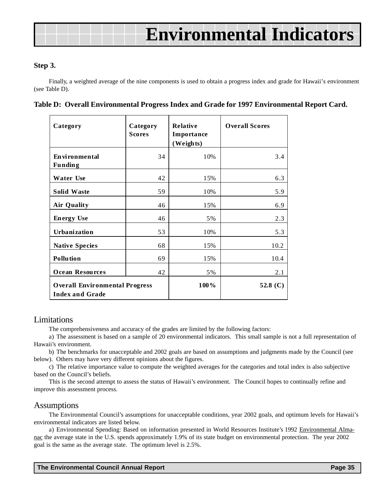## **Step 3.**

Finally, a weighted average of the nine components is used to obtain a progress index and grade for Hawaii's environment (see Table D).

|  | Table D: Overall Environmental Progress Index and Grade for 1997 Environmental Report Card. |  |  |  |
|--|---------------------------------------------------------------------------------------------|--|--|--|
|  |                                                                                             |  |  |  |

| Category                                                        | Category<br><b>Scores</b> | <b>Relative</b><br>Importance<br>(Weights) | <b>Overall Scores</b> |
|-----------------------------------------------------------------|---------------------------|--------------------------------------------|-----------------------|
| <b>Environmental</b><br><b>Funding</b>                          | 34                        | 10%                                        | 3.4                   |
| <b>Water Use</b>                                                | 42                        | 15%                                        | 6.3                   |
| <b>Solid Waste</b>                                              | 59                        | 10%                                        | 5.9                   |
| <b>Air Quality</b>                                              | 46                        | 15%                                        | 6.9                   |
| <b>Energy Use</b>                                               | 46                        | 5%                                         | 2.3                   |
| Urbanization                                                    | 53                        | 10%                                        | 5.3                   |
| <b>Native Species</b>                                           | 68                        | 15%                                        | 10.2                  |
| <b>Pollution</b>                                                | 69                        | 15%                                        | 10.4                  |
| <b>Ocean Resources</b>                                          | 42                        | 5%                                         | 2.1                   |
| <b>Overall Environmental Progress</b><br><b>Index and Grade</b> |                           | 100%                                       | 52.8 $(C)$            |

## Limitations

The comprehensiveness and accuracy of the grades are limited by the following factors:

a) The assessment is based on a sample of 20 environmental indicators. This small sample is not a full representation of Hawaii's environment.

b) The benchmarks for unacceptable and 2002 goals are based on assumptions and judgments made by the Council (see below). Others may have very different opinions about the figures.

c) The relative importance value to compute the weighted averages for the categories and total index is also subjective based on the Council's beliefs.

This is the second attempt to assess the status of Hawaii's environment. The Council hopes to continually refine and improve this assessment process.

## Assumptions

The Environmental Council's assumptions for unacceptable conditions, year 2002 goals, and optimum levels for Hawaii's environmental indicators are listed below.

a) Environmental Spending: Based on information presented in World Resources Institute's 1992 Environmental Almanac the average state in the U.S. spends approximately 1.9% of its state budget on environmental protection. The year 2002 goal is the same as the average state. The optimum level is 2.5%.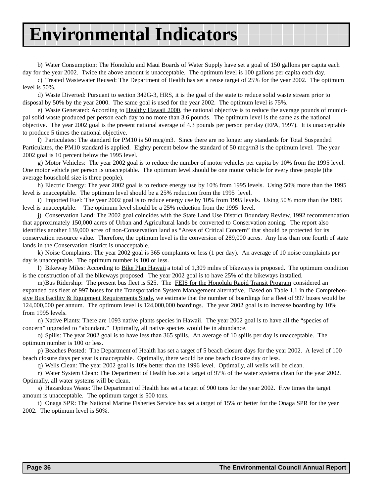b) Water Consumption: The Honolulu and Maui Boards of Water Supply have set a goal of 150 gallons per capita each day for the year 2002. Twice the above amount is unacceptable. The optimum level is 100 gallons per capita each day.

c) Treated Wastewater Reused: The Department of Health has set a reuse target of 25% for the year 2002. The optimum level is 50%.

d) Waste Diverted: Pursuant to section 342G-3, HRS, it is the goal of the state to reduce solid waste stream prior to disposal by 50% by the year 2000. The same goal is used for the year 2002. The optimum level is 75%.

e) Waste Generated: According to Healthy Hawaii 2000, the national objective is to reduce the average pounds of municipal solid waste produced per person each day to no more than 3.6 pounds. The optimum level is the same as the national objective. The year 2002 goal is the present national average of 4.3 pounds per person per day (EPA, 1997). It is unacceptable to produce 5 times the national objective.

f) Particulates: The standard for PM10 is 50 mcg/m3. Since there are no longer any standards for Total Suspended Particulates, the PM10 standard is applied. Eighty percent below the standard of 50 mcg/m3 is the optimum level. The year 2002 goal is 10 percent below the 1995 level.

g) Motor Vehicles: The year 2002 goal is to reduce the number of motor vehicles per capita by 10% from the 1995 level. One motor vehicle per person is unacceptable. The optimum level should be one motor vehicle for every three people (the average household size is three people).

h) Electric Energy: The year 2002 goal is to reduce energy use by 10% from 1995 levels. Using 50% more than the 1995 level is unacceptable. The optimum level should be a 25% reduction from the 1995 level.

i) Imported Fuel: The year 2002 goal is to reduce energy use by 10% from 1995 levels. Using 50% more than the 1995 level is unacceptable. The optimum level should be a 25% reduction from the 1995 level.

j) Conservation Land: The 2002 goal coincides with the State Land Use District Boundary Review, 1992 recommendation that approximately 150,000 acres of Urban and Agricultural lands be converted to Conservation zoning. The report also identifies another 139,000 acres of non-Conservation land as "Areas of Critical Concern" that should be protected for its conservation resource value. Therefore, the optimum level is the conversion of 289,000 acres. Any less than one fourth of state lands in the Conservation district is unacceptable.

k) Noise Complaints: The year 2002 goal is 365 complaints or less (1 per day). An average of 10 noise complaints per day is unacceptable. The optimum number is 100 or less.

l) Bikeway Miles: According to Bike Plan Hawaii a total of 1,309 miles of bikeways is proposed. The optimum condition is the construction of all the bikeways proposed. The year 2002 goal is to have 25% of the bikeways installed.

m)Bus Ridership: The present bus fleet is 525. The FEIS for the Honolulu Rapid Transit Program considered an expanded bus fleet of 997 buses for the Transportation System Management alternative. Based on Table 1.1 in the Comprehensive Bus Facility & Equipment Requirements Study, we estimate that the number of boardings for a fleet of 997 buses would be 124,000,000 per annum. The optimum level is 124,000,000 boardings. The year 2002 goal is to increase boarding by 10% from 1995 levels.

n) Native Plants: There are 1093 native plants species in Hawaii. The year 2002 goal is to have all the "species of concern" upgraded to "abundant." Optimally, all native species would be in abundance.

o) Spills: The year 2002 goal is to have less than 365 spills. An average of 10 spills per day is unacceptable. The optimum number is 100 or less.

p) Beaches Posted: The Department of Health has set a target of 5 beach closure days for the year 2002. A level of 100 beach closure days per year is unacceptable. Optimally, there would be one beach closure day or less.

q) Wells Clean: The year 2002 goal is 10% better than the 1996 level. Optimally, all wells will be clean.

r) Water System Clean: The Department of Health has set a target of 97% of the water systems clean for the year 2002. Optimally, all water systems will be clean.

s) Hazardous Waste: The Department of Health has set a target of 900 tons for the year 2002. Five times the target amount is unacceptable. The optimum target is 500 tons.

t) Onaga SPR: The National Marine Fisheries Service has set a target of 15% or better for the Onaga SPR for the year 2002. The optimum level is 50%.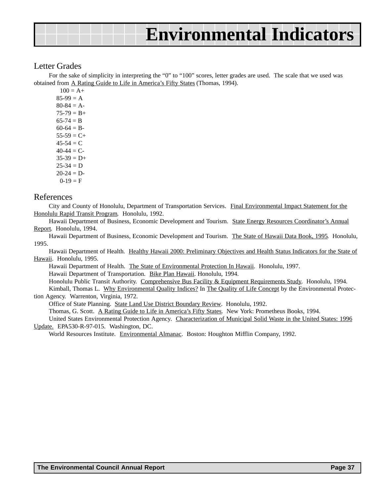## Letter Grades

For the sake of simplicity in interpreting the "0" to "100" scores, letter grades are used. The scale that we used was obtained from A Rating Guide to Life in America's Fifty States (Thomas, 1994).

 $100 = A +$  $85-99 = A$  $80-84 = A 75-79 = B+$  $65-74 = B$  $60-64 = B 55-59 = C+$  $45-54 = C$  $40-44 = C$  $35-39 = D+$  $25 - 34 = D$  $20-24 = D$  $0-19 = F$ 

### References

City and County of Honolulu, Department of Transportation Services. Final Environmental Impact Statement for the Honolulu Rapid Transit Program. Honolulu, 1992.

Hawaii Department of Business, Economic Development and Tourism. State Energy Resources Coordinator's Annual Report. Honolulu, 1994.

Hawaii Department of Business, Economic Development and Tourism. The State of Hawaii Data Book, 1995. Honolulu, 1995.

Hawaii Department of Health. Healthy Hawaii 2000: Preliminary Objectives and Health Status Indicators for the State of Hawaii. Honolulu, 1995.

Hawaii Department of Health. The State of Environmental Protection In Hawaii. Honolulu, 1997. Hawaii Department of Transportation. Bike Plan Hawaii. Honolulu, 1994. Honolulu Public Transit Authority. Comprehensive Bus Facility & Equipment Requirements Study. Honolulu, 1994. Kimball, Thomas L. Why Environmental Quality Indices? In The Quality of Life Concept by the Environmental Protec-

tion Agency. Warrenton, Virginia, 1972. Office of State Planning. State Land Use District Boundary Review. Honolulu, 1992. Thomas, G. Scott. A Rating Guide to Life in America's Fifty States. New York: Prometheus Books, 1994. United States Environmental Protection Agency. Characterization of Municipal Solid Waste in the United States: 1996

Update. EPA530-R-97-015. Washington, DC. World Resources Institute. Environmental Almanac. Boston: Houghton Mifflin Company, 1992.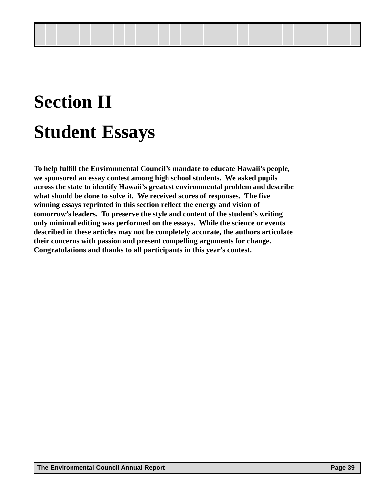## **Section II Student Essays**

**To help fulfill the Environmental Council's mandate to educate Hawaii's people, we sponsored an essay contest among high school students. We asked pupils across the state to identify Hawaii's greatest environmental problem and describe what should be done to solve it. We received scores of responses. The five winning essays reprinted in this section reflect the energy and vision of tomorrow's leaders. To preserve the style and content of the student's writing only minimal editing was performed on the essays. While the science or events described in these articles may not be completely accurate, the authors articulate their concerns with passion and present compelling arguments for change. Congratulations and thanks to all participants in this year's contest.**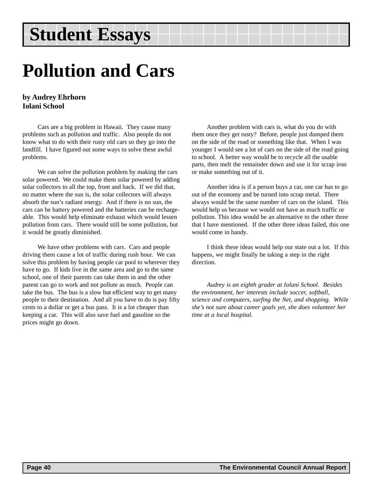## **Pollution and Cars**

## **by Audrey Ehrhorn Iolani School**

Cars are a big problem in Hawaii. They cause many problems such as pollution and traffic. Also people do not know what to do with their rusty old cars so they go into the landfill. I have figured out some ways to solve these awful problems.

We can solve the pollution problem by making the cars solar powered. We could make them solar powered by adding solar collectors to all the top, front and back. If we did that, no matter where the sun is, the solar collectors will always absorb the sun's radiant energy. And if there is no sun, the cars can be battery powered and the batteries can be rechargeable. This would help eliminate exhaust which would lessen pollution from cars. There would still be some pollution, but it would be greatly diminished.

We have other problems with cars. Cars and people driving them cause a lot of traffic during rush hour. We can solve this problem by having people car pool to wherever they have to go. If kids live in the same area and go to the same school, one of their parents can take them in and the other parent can go to work and not pollute as much. People can take the bus. The bus is a slow but efficient way to get many people to their destination. And all you have to do is pay fifty cents to a dollar or get a bus pass. It is a lot cheaper than keeping a car. This will also save fuel and gasoline so the prices might go down.

Another problem with cars is, what do you do with them once they get rusty? Before, people just dumped them on the side of the road or something like that. When I was younger I would see a lot of cars on the side of the road going to school. A better way would be to recycle all the usable parts, then melt the remainder down and use it for scrap iron or make something out of it.

Another idea is if a person buys a car, one car has to go out of the economy and be turned into scrap metal. There always would be the same number of cars on the island. This would help us because we would not have as much traffic or pollution. This idea would be an alternative to the other three that I have mentioned. If the other three ideas failed, this one would come in handy.

I think these ideas would help our state out a lot. If this happens, we might finally be taking a step in the right direction.

*Audrey is an eighth grader at Iolani School. Besides the environment, her interests include soccer, softball, science and computers, surfing the Net, and shopping. While she's not sure about career goals yet, she does volunteer her time at a local hospital.*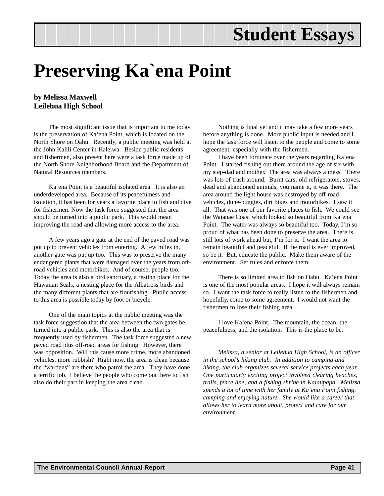## **Preserving Ka`ena Point**

## **by Melissa Maxwell Leilehua High School**

The most significant issue that is important to me today is the preservation of Ka'ena Point, which is located on the North Shore on Oahu. Recently, a public meeting was held at the John Kalili Center in Haleiwa. Beside public residents and fishermen, also present here were a task force made up of the North Shore Neighborhood Board and the Department of Natural Resources members.

Ka'ena Point is a beautiful isolated area. It is also an underdeveloped area. Because of its peacefulness and isolation, it has been for years a favorite place to fish and dive for fishermen. Now the task force suggested that the area should be turned into a public park. This would mean improving the road and allowing more access to the area.

A few years ago a gate at the end of the paved road was put up to prevent vehicles from entering. A few miles in, another gate was put up too. This was to preserve the many endangered plants that were damaged over the years from offroad vehicles and motorbikes. And of course, people too. Today the area is also a bird sanctuary, a resting place for the Hawaiian Seals, a nesting place for the Albatross birds and the many different plants that are flourishing. Public access to this area is possible today by foot or bicycle.

One of the main topics at the public meeting was the task force suggestion that the area between the two gates be turned into a public park. This is also the area that is frequently used by fishermen. The task force suggested a new paved road plus off-road areas for fishing. However, there was opposition. Will this cause more crime, more abandoned vehicles, more rubbish? Right now, the area is clean because the "wardens" are there who patrol the area. They have done a terrific job. I believe the people who come out there to fish also do their part in keeping the area clean.

Nothing is final yet and it may take a few more years before anything is done. More public input is needed and I hope the task force will listen to the people and come to some agreement, especially with the fishermen.

I have been fortunate over the years regarding Ka'ena Point. I started fishing out there around the age of six with my step-dad and mother. The area was always a mess. There was lots of trash around. Burnt cars, old refrigerators, stoves, dead and abandoned animals, you name it, it was there. The area around the light house was destroyed by off-road vehicles, dune-buggies, dirt bikes and motorbikes. I saw it all. That was one of our favorite places to fish. We could see the Waianae Coast which looked so beautiful from Ka'ena Point. The water was always so beautiful too. Today, I'm so proud of what has been done to preserve the area. There is still lots of work ahead but, I'm for it. I want the area to remain beautiful and peaceful. If the road is ever improved, so be it. But, educate the public. Make them aware of the environment. Set rules and enforce them.

There is so limited area to fish on Oahu. Ka'ena Point is one of the most popular areas. I hope it will always remain so. I want the task force to really listen to the fishermen and hopefully, come to some agreement. I would not want the fishermen to lose their fishing area.

I love Ka'ena Point. The mountain, the ocean, the peacefulness, and the isolation. This is the place to be.

*Melissa, a senior at Leilehua High School, is an officer in the school's hiking club. In addition to camping and hiking, the club organizes several service projects each year. One particularly exciting project involved clearing beaches, trails, fence line, and a fishing shrine in Kalaupapa. Melissa spends a lot of time with her family at Ka`ena Point fishing, camping and enjoying nature. She would like a career that allows her to learn more about, protect and care for our environment.*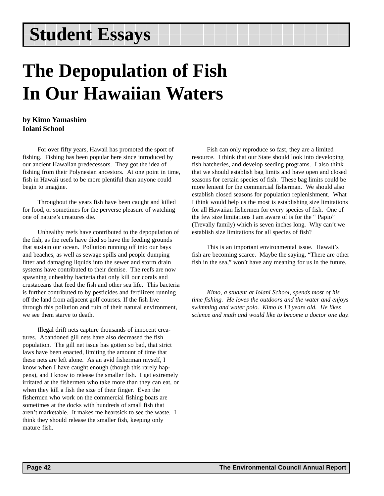## **The Depopulation of Fish In Our Hawaiian Waters**

## **by Kimo Yamashiro Iolani School**

For over fifty years, Hawaii has promoted the sport of fishing. Fishing has been popular here since introduced by our ancient Hawaiian predecessors. They got the idea of fishing from their Polynesian ancestors. At one point in time, fish in Hawaii used to be more plentiful than anyone could begin to imagine.

Throughout the years fish have been caught and killed for food, or sometimes for the perverse pleasure of watching one of nature's creatures die.

Unhealthy reefs have contributed to the depopulation of the fish, as the reefs have died so have the feeding grounds that sustain our ocean. Pollution running off into our bays and beaches, as well as sewage spills and people dumping litter and damaging liquids into the sewer and storm drain systems have contributed to their demise. The reefs are now spawning unhealthy bacteria that only kill our corals and crustaceans that feed the fish and other sea life. This bacteria is further contributed to by pesticides and fertilizers running off the land from adjacent golf courses. If the fish live through this pollution and ruin of their natural environment, we see them starve to death.

Illegal drift nets capture thousands of innocent creatures. Abandoned gill nets have also decreased the fish population. The gill net issue has gotten so bad, that strict laws have been enacted, limiting the amount of time that these nets are left alone. As an avid fisherman myself, I know when I have caught enough (though this rarely happens), and I know to release the smaller fish. I get extremely irritated at the fishermen who take more than they can eat, or when they kill a fish the size of their finger. Even the fishermen who work on the commercial fishing boats are sometimes at the docks with hundreds of small fish that aren't marketable. It makes me heartsick to see the waste. I think they should release the smaller fish, keeping only mature fish.

Fish can only reproduce so fast, they are a limited resource. I think that our State should look into developing fish hatcheries, and develop seeding programs. I also think that we should establish bag limits and have open and closed seasons for certain species of fish. These bag limits could be more lenient for the commercial fisherman. We should also establish closed seasons for population replenishment. What I think would help us the most is establishing size limitations for all Hawaiian fishermen for every species of fish. One of the few size limitations I am aware of is for the " Papio" (Trevally family) which is seven inches long. Why can't we establish size limitations for all species of fish?

This is an important environmental issue. Hawaii's fish are becoming scarce. Maybe the saying, "There are other fish in the sea," won't have any meaning for us in the future.

*Kimo, a student at Iolani School, spends most of his time fishing. He loves the outdoors and the water and enjoys swimming and water polo. Kimo is 13 years old. He likes science and math and would like to become a doctor one day.*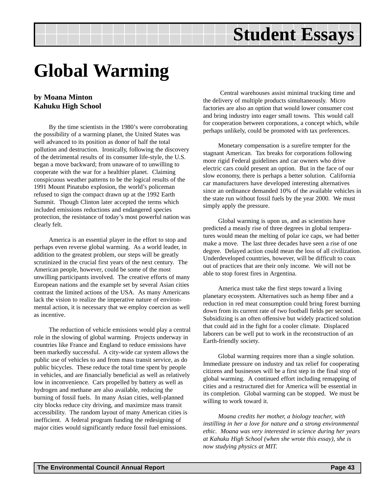## **Global Warming**

## **by Moana Minton Kahuku High School**

By the time scientists in the 1980's were corroborating the possibility of a warming planet, the United States was well advanced to its position as donor of half the total pollution and destruction. Ironically, following the discovery of the detrimental results of its consumer life-style, the U.S. began a move backward; from unaware of to unwilling to cooperate with the war for a healthier planet. Claiming conspicuous weather patterns to be the logical results of the 1991 Mount Pinatubo explosion, the world's policeman refused to sign the compact drawn up at the 1992 Earth Summit. Though Clinton later accepted the terms which included emissions reductions and endangered species protection, the resistance of today's most powerful nation was clearly felt.

America is an essential player in the effort to stop and perhaps even reverse global warming. As a world leader, in addition to the greatest problem, our steps will be greatly scrutinized in the crucial first years of the next century. The American people, however, could be some of the most unwilling participants involved. The creative efforts of many European nations and the example set by several Asian cities contrast the limited actions of the USA. As many Americans lack the vision to realize the imperative nature of environmental action, it is necessary that we employ coercion as well as incentive.

The reduction of vehicle emissions would play a central role in the slowing of global warming. Projects underway in countries like France and England to reduce emissions have been markedly successful. A city-wide car system allows the public use of vehicles to and from mass transit service, as do public bicycles. These reduce the total time spent by people in vehicles, and are financially beneficial as well as relatively low in inconvenience. Cars propelled by battery as well as hydrogen and methane are also available, reducing the burning of fossil fuels. In many Asian cities, well-planned city blocks reduce city driving, and maximize mass transit accessibility. The random layout of many American cities is inefficient. A federal program funding the redesigning of major cities would significantly reduce fossil fuel emissions.

 Central warehouses assist minimal trucking time and the delivery of multiple products simultaneously. Micro factories are also an option that would lower consumer cost and bring industry into eager small towns. This would call for cooperation between corporations, a concept which, while perhaps unlikely, could be promoted with tax preferences.

Monetary compensation is a surefire tempter for the stagnant American. Tax breaks for corporations following more rigid Federal guidelines and car owners who drive electric cars could present an option. But in the face of our slow economy, there is perhaps a better solution. California car manufacturers have developed interesting alternatives since an ordinance demanded 10% of the available vehicles in the state run without fossil fuels by the year 2000. We must simply apply the pressure.

Global warming is upon us, and as scientists have predicted a measly rise of three degrees in global temperatures would mean the melting of polar ice caps, we had better make a move. The last three decades have seen a rise of one degree. Delayed action could mean the loss of all civilization. Underdeveloped countries, however, will be difficult to coax out of practices that are their only income. We will not be able to stop forest fires in Argentina.

America must take the first steps toward a living planetary ecosystem. Alternatives such as hemp fiber and a reduction in red meat consumption could bring forest burning down from its current rate of two football fields per second. Subsidizing is an often offensive but widely practiced solution that could aid in the fight for a cooler climate. Displaced laborers can be well put to work in the reconstruction of an Earth-friendly society.

Global warming requires more than a single solution. Immediate pressure on industry and tax relief for cooperating citizens and businesses will be a first step in the final stop of global warming. A continued effort including remapping of cities and a restructured diet for America will be essential in its completion. Global warming can be stopped. We must be willing to work toward it.

*Moana credits her mother, a biology teacher, with instilling in her a love for nature and a strong environmental ethic. Moana was very interested in science during her years at Kahuku High School (when she wrote this essay), she is now studying physics at MIT.*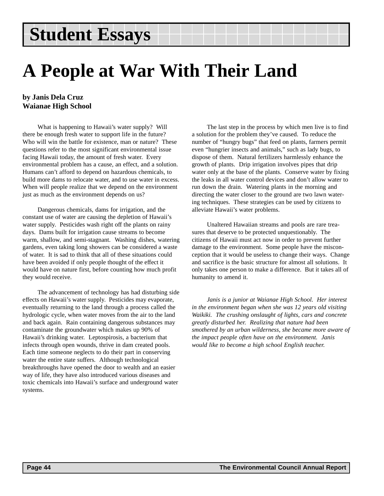## **A People at War With Their Land**

## **by Janis Dela Cruz Waianae High School**

What is happening to Hawaii's water supply? Will there be enough fresh water to support life in the future? Who will win the battle for existence, man or nature? These questions refer to the most significant environmental issue facing Hawaii today, the amount of fresh water. Every environmental problem has a cause, an effect, and a solution. Humans can't afford to depend on hazardous chemicals, to build more dams to relocate water, and to use water in excess. When will people realize that we depend on the environment just as much as the environment depends on us?

Dangerous chemicals, dams for irrigation, and the constant use of water are causing the depletion of Hawaii's water supply. Pesticides wash right off the plants on rainy days. Dams built for irrigation cause streams to become warm, shallow, and semi-stagnant. Washing dishes, watering gardens, even taking long showers can be considered a waste of water. It is sad to think that all of these situations could have been avoided if only people thought of the effect it would have on nature first, before counting how much profit they would receive.

The advancement of technology has had disturbing side effects on Hawaii's water supply. Pesticides may evaporate, eventually returning to the land through a process called the hydrologic cycle, when water moves from the air to the land and back again. Rain containing dangerous substances may contaminate the groundwater which makes up 90% of Hawaii's drinking water. Leptospirosis, a bacterium that infects through open wounds, thrive in dam created pools. Each time someone neglects to do their part in conserving water the entire state suffers. Although technological breakthroughs have opened the door to wealth and an easier way of life, they have also introduced various diseases and toxic chemicals into Hawaii's surface and underground water systems.

The last step in the process by which men live is to find a solution for the problem they've caused. To reduce the number of "hungry bugs" that feed on plants, farmers permit even "hungrier insects and animals," such as lady bugs, to dispose of them. Natural fertilizers harmlessly enhance the growth of plants. Drip irrigation involves pipes that drip water only at the base of the plants. Conserve water by fixing the leaks in all water control devices and don't allow water to run down the drain. Watering plants in the morning and directing the water closer to the ground are two lawn watering techniques. These strategies can be used by citizens to alleviate Hawaii's water problems.

Unaltered Hawaiian streams and pools are rare treasures that deserve to be protected unquestionably. The citizens of Hawaii must act now in order to prevent further damage to the environment. Some people have the misconception that it would be useless to change their ways. Change and sacrifice is the basic structure for almost all solutions. It only takes one person to make a difference. But it takes all of humanity to amend it.

*Janis is a junior at Waianae High School. Her interest in the environment began when she was 12 years old visiting Waikiki. The crushing onslaught of lights, cars and concrete greatly disturbed her. Realizing that nature had been smothered by an urban wilderness, she became more aware of the impact people often have on the environment. Janis would like to become a high school English teacher.*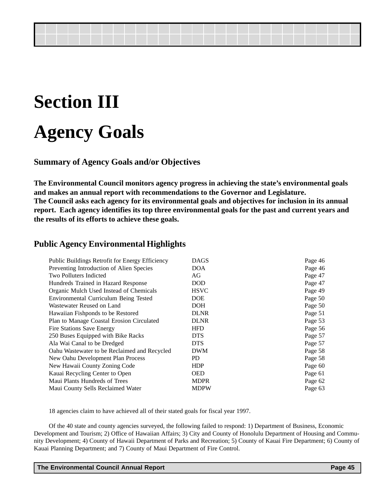## **Section III Agency Goals**

**Summary of Agency Goals and/or Objectives**

**The Environmental Council monitors agency progress in achieving the state's environmental goals and makes an annual report with recommendations to the Governor and Legislature. The Council asks each agency for its environmental goals and objectives for inclusion in its annual report. Each agency identifies its top three environmental goals for the past and current years and the results of its efforts to achieve these goals.**

## **Public Agency Environmental Highlights**

| Public Buildings Retrofit for Energy Efficiency | <b>DAGS</b> | Page 46 |
|-------------------------------------------------|-------------|---------|
| Preventing Introduction of Alien Species        | DOA         | Page 46 |
| <b>Two Polluters Indicted</b>                   | AG          | Page 47 |
| Hundreds Trained in Hazard Response             | <b>DOD</b>  | Page 47 |
| Organic Mulch Used Instead of Chemicals         | <b>HSVC</b> | Page 49 |
| Environmental Curriculum Being Tested           | DOE         | Page 50 |
| Wastewater Reused on Land                       | <b>DOH</b>  | Page 50 |
| Hawaiian Fishponds to be Restored               | <b>DLNR</b> | Page 51 |
| Plan to Manage Coastal Erosion Circulated       | <b>DLNR</b> | Page 53 |
| Fire Stations Save Energy                       | <b>HFD</b>  | Page 56 |
| 250 Buses Equipped with Bike Racks              | <b>DTS</b>  | Page 57 |
| Ala Wai Canal to be Dredged                     | <b>DTS</b>  | Page 57 |
| Oahu Wastewater to be Reclaimed and Recycled    | <b>DWM</b>  | Page 58 |
| New Oahu Development Plan Process               | PD.         | Page 58 |
| New Hawaii County Zoning Code                   | <b>HDP</b>  | Page 60 |
| Kauai Recycling Center to Open                  | <b>OED</b>  | Page 61 |
| Maui Plants Hundreds of Trees                   | <b>MDPR</b> | Page 62 |
| Maui County Sells Reclaimed Water               | <b>MDPW</b> | Page 63 |

18 agencies claim to have achieved all of their stated goals for fiscal year 1997.

Of the 40 state and county agencies surveyed, the following failed to respond: 1) Department of Business, Economic Development and Tourism; 2) Office of Hawaiian Affairs; 3) City and County of Honolulu Department of Housing and Community Development; 4) County of Hawaii Department of Parks and Recreation; 5) County of Kauai Fire Department; 6) County of Kauai Planning Department; and 7) County of Maui Department of Fire Control.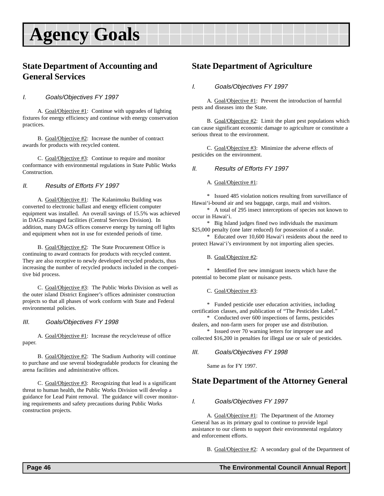## **Agency Goals**

## **State Department of Accounting and General Services**

### I. Goals/Objectives FY 1997

A. Goal/Objective #1: Continue with upgrades of lighting fixtures for energy efficiency and continue with energy conservation practices.

B. Goal/Objective #2: Increase the number of contract awards for products with recycled content.

C. Goal/Objective #3: Continue to require and monitor conformance with environmental regulations in State Public Works Construction.

### II. Results of Efforts FY 1997

A. Goal/Objective #1: The Kalanimoku Building was converted to electronic ballast and energy efficient computer equipment was installed. An overall savings of 15.5% was achieved in DAGS managed facilities (Central Services Division). In addition, many DAGS offices conserve energy by turning off lights and equipment when not in use for extended periods of time.

B. Goal/Objective #2: The State Procurement Office is continuing to award contracts for products with recycled content. They are also receptive to newly developed recycled products, thus increasing the number of recycled products included in the competitive bid process.

C. Goal/Objective #3: The Public Works Division as well as the outer island District Engineer's offices administer construction projects so that all phases of work conform with State and Federal environmental policies.

#### III. Goals/Objectives FY 1998

A. Goal/Objective #1: Increase the recycle/reuse of office paper.

B. Goal/Objective #2: The Stadium Authority will continue to purchase and use several biodegradable products for cleaning the arena facilities and administrative offices.

C. Goal/Objective #3: Recognizing that lead is a significant threat to human health, the Public Works Division will develop a guidance for Lead Paint removal. The guidance will cover monitoring requirements and safety precautions during Public Works construction projects.

## **State Department of Agriculture**

#### I. Goals/Objectives FY 1997

A. Goal/Objective #1: Prevent the introduction of harmful pests and diseases into the State.

B.  $Goal/Objective #2$ : Limit the plant pest populations which can cause significant economic damage to agriculture or constitute a serious threat to the environment.

C. Goal/Objective #3: Minimize the adverse effects of pesticides on the environment.

#### II. Results of Efforts FY 1997

A. Goal/Objective #1:

\* Issued 485 violation notices resulting from surveillance of Hawai'i-bound air and sea baggage, cargo, mail and visitors.

\* A total of 295 insect interceptions of species not known to occur in Hawai'i.

\* Big Island judges fined two individuals the maximum \$25,000 penalty (one later reduced) for possession of a snake.

\* Educated over 10,600 Hawai'i residents about the need to protect Hawai'i's environment by not importing alien species.

B. Goal/Objective #2:

\* Identified five new immigrant insects which have the potential to become plant or nuisance pests.

#### C. Goal/Objective #3:

\* Funded pesticide user education activities, including certification classes, and publication of "The Pesticides Label."

\* Conducted over 600 inspections of farms, pesticides dealers, and non-farm users for proper use and distribution.

\* Issued over 70 warning letters for improper use and collected \$16,200 in penalties for illegal use or sale of pesticides.

#### III. Goals/Objectives FY 1998

Same as for FY 1997.

## **State Department of the Attorney General**

#### I. Goals/Objectives FY 1997

A. Goal/Objective #1: The Department of the Attorney General has as its primary goal to continue to provide legal assistance to our clients to support their environmental regulatory and enforcement efforts.

B. Goal/Objective #2: A secondary goal of the Department of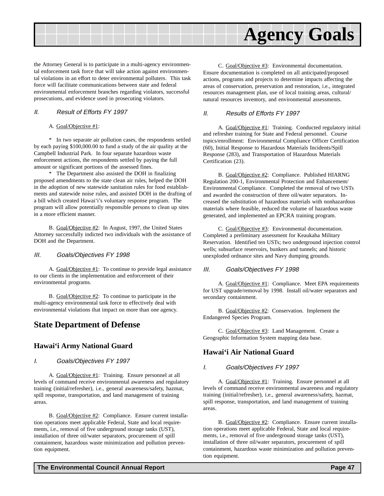

the Attorney General is to participate in a multi-agency environmental enforcement task force that will take action against environmental violations in an effort to deter environmental polluters. This task force will facilitate communications between state and federal environmental enforcement branches regarding violators, successful prosecutions, and evidence used in prosecuting violators.

### II. Result of Efforts FY 1997

#### A. Goal/Objective #1:

\* In two separate air pollution cases, the respondents settled by each paying \$100,000.00 to fund a study of the air quality at the Campbell Industrial Park. In four separate hazardous waste enforcement actions, the respondents settled by paying the full amount or significant portions of the assessed fines.

\* The Department also assisted the DOH in finalizing proposed amendments to the state clean air rules, helped the DOH in the adoption of new statewide sanitation rules for food establishments and statewide noise rules, and assisted DOH in the drafting of a bill which created Hawai'i's voluntary response program. The program will allow potentially responsible persons to clean up sites in a more efficient manner.

B. Goal/Objective #2: In August, 1997, the United States Attorney successfully indicted two individuals with the assistance of DOH and the Department.

### III. Goals/Objectives FY 1998

A. Goal/Objective #1: To continue to provide legal assistance to our clients in the implementation and enforcement of their environmental programs.

B. Goal/Objective #2: To continue to participate in the multi-agency environmental task force to effectively deal with environmental violations that impact on more than one agency.

## **State Department of Defense**

### **Hawai'i Army National Guard**

### I. Goals/Objectives FY 1997

A. Goal/Objective #1: Training. Ensure personnel at all levels of command receive environmental awareness and regulatory training (initial/refresher), i.e., general awareness/safety, hazmat, spill response, transportation, and land management of training areas.

B. Goal/Objective #2: Compliance. Ensure current installation operations meet applicable Federal, State and local requirements, i.e., removal of five underground storage tanks (UST), installation of three oil/water separators, procurement of spill containment, hazardous waste minimization and pollution prevention equipment.

C. Goal/Objective #3: Environmental documentation. Ensure documentation is completed on all anticipated/proposed actions, programs and projects to determine impacts affecting the areas of conservation, preservation and restoration, i.e., integrated resources management plan, use of local training areas, cultural/ natural resources inventory, and environmental assessments.

### II. Results of Efforts FY 1997

A. Goal/Objective #1: Training. Conducted regulatory initial and refresher training for State and Federal personnel. Course topics/enrollment: Environmental Compliance Officer Certification (60), Initial Response to Hazardous Materials Incidents/Spill Response (283), and Transportation of Hazardous Materials Certification (23).

B. Goal/Objective #2: Compliance. Published HIARNG Regulation 200-1, Environmental Protection and Enhancement/ Environmental Compliance. Completed the removal of two USTs and awarded the construction of three oil/water separators. Increased the substitution of hazardous materials with nonhazardous materials where feasible, reduced the volume of hazardous waste generated, and implemented an EPCRA training program.

C. Goal/Objective #3: Environmental documentation. Completed a preliminary assessment for Keaukaha Military Reservation. Identified ten USTs; two underground injection control wells; subsurface reservoirs, bunkers and tunnels; and historic unexploded ordnance sites and Navy dumping grounds.

#### III. Goals/Objectives FY 1998

A. Goal/Objective #1: Compliance. Meet EPA requirements for UST upgrade/removal by 1998. Install oil/water separators and secondary containment.

B. Goal/Objective #2: Conservation. Implement the Endangered Species Program.

C. Goal/Objective #3: Land Management. Create a Geographic Information System mapping data base.

### **Hawai'i Air National Guard**

#### I. Goals/Objectives FY 1997

A. Goal/Objective #1: Training. Ensure personnel at all levels of command receive environmental awareness and regulatory training (initial/refresher), i.e., general awareness/safety, hazmat, spill response, transportation, and land management of training areas.

B. Goal/Objective #2: Compliance. Ensure current installation operations meet applicable Federal, State and local requirements, i.e., removal of five underground storage tanks (UST), installation of three oil/water separators, procurement of spill containment, hazardous waste minimization and pollution prevention equipment.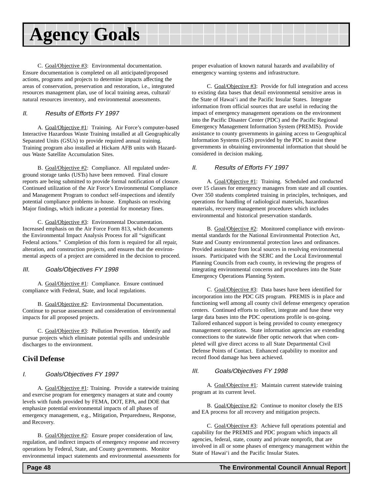## **Agency Goals**

C. Goal/Objective #3: Environmental documentation. Ensure documentation is completed on all anticipated/proposed actions, programs and projects to determine impacts affecting the areas of conservation, preservation and restoration, i.e., integrated resources management plan, use of local training areas, cultural/ natural resources inventory, and environmental assessments.

### II. Results of Efforts FY 1997

A. Goal/Objective #1: Training. Air Force's computer-based Interactive Hazardous Waste Training installed at all Geographically Separated Units (GSUs) to provide required annual training. Training program also installed at Hickam AFB units with Hazardous Waste Satellite Accumulation Sites.

B. Goal/Objective #2: Compliance. All regulated underground storage tanks (USTs) have been removed. Final closure reports are being submitted to provide formal notification of closure. Continued utilization of the Air Force's Environmental Compliance and Management Program to conduct self-inspections and identify potential compliance problems in-house. Emphasis on resolving Major findings, which indicate a potential for monetary fines.

C. Goal/Objective #3: Environmental Documentation. Increased emphasis on the Air Force Form 813, which documents the Environmental Impact Analysis Process for all "significant Federal actions." Completion of this form is required for all repair, alteration, and construction projects, and ensures that the environmental aspects of a project are considered in the decision to proceed.

### III. Goals/Objectives FY 1998

A. Goal/Objective #1: Compliance. Ensure continued compliance with Federal, State, and local regulations.

B. Goal/Objective #2: Environmental Documentation. Continue to pursue assessment and consideration of environmental impacts for all proposed projects.

C. Goal/Objective #3: Pollution Prevention. Identify and pursue projects which eliminate potential spills and undesirable discharges to the environment.

## **Civil Defense**

### I. Goals/Objectives FY 1997

A. Goal/Objective #1: Training. Provide a statewide training and exercise program for emergency managers at state and county levels with funds provided by FEMA, DOT, EPA, and DOE that emphasize potential environmental impacts of all phases of emergency management, e.g., Mitigation, Preparedness, Response, and Recovery.

B. Goal/Objective #2: Ensure proper consideration of law, regulation, and indirect impacts of emergency response and recovery operations by Federal, State, and County governments. Monitor environmental impact statements and environmental assessments for proper evaluation of known natural hazards and availability of emergency warning systems and infrastructure.

C. Goal/Objective #3: Provide for full integration and access to existing data bases that detail environmental sensitive areas in the State of Hawai'i and the Pacific Insular States. Integrate information from official sources that are useful in reducing the impact of emergency management operations on the environment into the Pacific Disaster Center (PDC) and the Pacific Regional Emergency Management Information System (PREMIS). Provide assistance to county governments in gaining access to Geographical Information Systems (GIS) provided by the PDC to assist these governments in obtaining environmental information that should be considered in decision making.

### II. Results of Efforts FY 1997

A. Goal/Objective #1: Training. Scheduled and conducted over 15 classes for emergency managers from state and all counties. Over 350 students completed training in principles, techniques, and operations for handling of radiological materials, hazardous materials, recovery management procedures which includes environmental and historical preservation standards.

B. Goal/Objective #2: Monitored compliance with environmental standards for the National Environmental Protection Act, State and County environmental protection laws and ordinances. Provided assistance from local sources in resolving environmental issues. Participated with the SERC and the Local Environmental Planning Councils from each county, in reviewing the progress of integrating environmental concerns and procedures into the State Emergency Operations Planning System.

C. Goal/Objective #3: Data bases have been identified for incorporation into the PDC GIS program. PREMIS is in place and functioning well among all county civil defense emergency operation centers. Continued efforts to collect, integrate and fuse these very large data bases into the PDC operations profile is on-going. Tailored enhanced support is being provided to county emergency management operations. State information agencies are extending connections to the statewide fiber optic network that when completed will give direct access to all State Departmental Civil Defense Points of Contact. Enhanced capability to monitor and record flood damage has been achieved.

### III. Goals/Objectives FY 1998

A. Goal/Objective #1: Maintain current statewide training program at its current level.

B. Goal/Objective #2: Continue to monitor closely the EIS and EA process for all recovery and mitigation projects.

C. Goal/Objective #3: Achieve full operations potential and capability for the PREMIS and PDC program which impacts all agencies, federal, state, county and private nonprofit, that are involved in all or some phases of emergency management within the State of Hawai'i and the Pacific Insular States.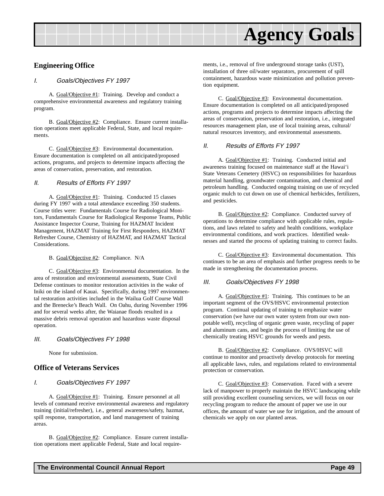

### **Engineering Office**

#### I. Goals/Objectives FY 1997

A. Goal/Objective #1: Training. Develop and conduct a comprehensive environmental awareness and regulatory training program.

B. Goal/Objective #2: Compliance. Ensure current installation operations meet applicable Federal, State, and local requirements.

C. Goal/Objective #3: Environmental documentation. Ensure documentation is completed on all anticipated/proposed actions, programs, and projects to determine impacts affecting the areas of conservation, preservation, and restoration.

### II. Results of Efforts FY 1997

A. Goal/Objective #1: Training. Conducted 15 classes during FY 1997 with a total attendance exceeding 350 students. Course titles were: Fundamentals Course for Radiological Monitors, Fundamentals Course for Radiological Response Teams, Public Assistance Inspector Course, Training for HAZMAT Incident Management, HAZMAT Training for First Responders, HAZMAT Refresher Course, Chemistry of HAZMAT, and HAZMAT Tactical Considerations.

B. Goal/Objective #2: Compliance. N/A

C. Goal/Objective #3: Environmental documentation. In the area of restoration and environmental assessments, State Civil Defense continues to monitor restoration activities in the wake of Iniki on the island of Kauai. Specifically, during 1997 environmental restoration activities included in the Wailua Golf Course Wall and the Brenecke's Beach Wall. On Oahu, during November 1996 and for several weeks after, the Waianae floods resulted in a massive debris removal operation and hazardous waste disposal operation.

#### III. Goals/Objectives FY 1998

None for submission.

### **Office of Veterans Services**

#### I. Goals/Objectives FY 1997

A. Goal/Objective #1: Training. Ensure personnel at all levels of command receive environmental awareness and regulatory training (initial/refresher), i.e., general awareness/safety, hazmat, spill response, transportation, and land management of training areas.

B. Goal/Objective #2: Compliance. Ensure current installation operations meet applicable Federal, State and local requirements, i.e., removal of five underground storage tanks (UST), installation of three oil/water separators, procurement of spill containment, hazardous waste minimization and pollution prevention equipment.

C. Goal/Objective #3: Environmental documentation. Ensure documentation is completed on all anticipated/proposed actions, programs and projects to determine impacts affecting the areas of conservation, preservation and restoration, i.e., integrated resources management plan, use of local training areas, cultural/ natural resources inventory, and environmental assessments.

#### II. Results of Efforts FY 1997

A. Goal/Objective #1: Training. Conducted initial and awareness training focused on maintenance staff at the Hawai'i State Veterans Cemetery (HSVC) on responsibilities for hazardous material handling, groundwater contamination, and chemical and petroleum handling. Conducted ongoing training on use of recycled organic mulch to cut down on use of chemical herbicides, fertilizers, and pesticides.

B. Goal/Objective #2: Compliance. Conducted survey of operations to determine compliance with applicable rules, regulations, and laws related to safety and health conditions, workplace environmental conditions, and work practices. Identified weaknesses and started the process of updating training to correct faults.

C. Goal/Objective #3: Environmental documentation. This continues to be an area of emphasis and further progress needs to be made in strengthening the documentation process.

#### III. Goals/Objectives FY 1998

A. Goal/Objective #1: Training. This continues to be an important segment of the OVS/HSVC environmental protection program. Continual updating of training to emphasize water conservation (we have our own water system from our own nonpotable well), recycling of organic green waste, recycling of paper and aluminum cans, and begin the process of limiting the use of chemically treating HSVC grounds for weeds and pests.

B. Goal/Objective #2: Compliance. OVS/HSVC will continue to monitor and proactively develop protocols for meeting all applicable laws, rules, and regulations related to environmental protection or conservation.

C. Goal/Objective #3: Conservation. Faced with a severe lack of manpower to properly maintain the HSVC landscaping while still providing excellent counseling services, we will focus on our recycling program to reduce the amount of paper we use in our offices, the amount of water we use for irrigation, and the amount of chemicals we apply on our planted areas.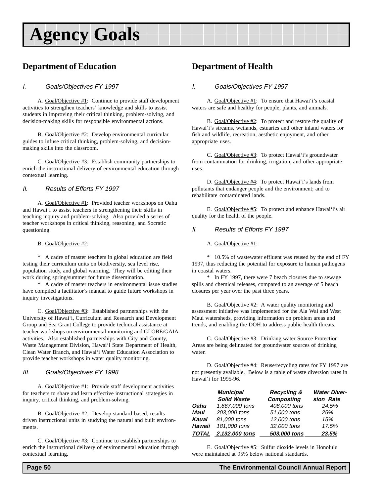## **Agency Goals**

## **Department of Education**

### I. Goals/Objectives FY 1997

A. Goal/Objective #1: Continue to provide staff development activities to strengthen teachers' knowledge and skills to assist students in improving their critical thinking, problem-solving, and decision-making skills for responsible environmental actions.

B. Goal/Objective #2: Develop environmental curricular guides to infuse critical thinking, problem-solving, and decisionmaking skills into the classroom.

C. Goal/Objective #3: Establish community partnerships to enrich the instructional delivery of environmental education through contextual learning.

### II. Results of Efforts FY 1997

A. Goal/Objective #1: Provided teacher workshops on Oahu and Hawai'i to assist teachers in strengthening their skills in teaching inquiry and problem-solving. Also provided a series of teacher workshops in critical thinking, reasoning, and Socratic questioning.

#### B. Goal/Objective #2:

\* A cadre of master teachers in global education are field testing their curriculum units on biodiversity, sea level rise, population study, and global warming. They will be editing their work during spring/summer for future dissemination.

\* A cadre of master teachers in environmental issue studies have compiled a facilitator's manual to guide future workshops in inquiry investigations.

C. Goal/Objective #3: Established partnerships with the University of Hawai'i, Curriculum and Research and Development Group and Sea Grant College to provide technical assistance at teacher workshops on environmental monitoring and GLOBE/GAIA activities. Also established partnerships with City and County, Waste Management Division, Hawai'i State Department of Health, Clean Water Branch, and Hawai'i Water Education Association to provide teacher workshops in water quality monitoring.

### III. Goals/Objectives FY 1998

A. Goal/Objective #1: Provide staff development activities for teachers to share and learn effective instructional strategies in inquiry, critical thinking, and problem-solving.

B. Goal/Objective #2: Develop standard-based, results driven instructional units in studying the natural and built environments.

C. Goal/Objective #3: Continue to establish partnerships to enrich the instructional delivery of environmental education through contextual learning.

## **Department of Health**

### I. Goals/Objectives FY 1997

A. Goal/Objective #1: To ensure that Hawai'i's coastal waters are safe and healthy for people, plants, and animals.

B. Goal/Objective #2: To protect and restore the quality of Hawai'i's streams, wetlands, estuaries and other inland waters for fish and wildlife, recreation, aesthetic enjoyment, and other appropriate uses.

C. Goal/Objective #3: To protect Hawai'i's groundwater from contamination for drinking, irrigation, and other appropriate uses.

D. Goal/Objective #4: To protect Hawai'i's lands from pollutants that endanger people and the environment; and to rehabilitate contaminated lands.

E. Goal/Objective #5: To protect and enhance Hawai'i's air quality for the health of the people.

### II. Results of Efforts FY 1997

A. Goal/Objective #1:

\* 10.5% of wastewater effluent was reused by the end of FY 1997, thus reducing the potential for exposure to human pathogens in coastal waters.

\* In FY 1997, there were 7 beach closures due to sewage spills and chemical releases, compared to an average of 5 beach closures per year over the past three years.

B. Goal/Objective #2: A water quality monitoring and assessment initiative was implemented for the Ala Wai and West Maui watersheds, providing information on problem areas and trends, and enabling the DOH to address public health threats.

C. Goal/Objective #3: Drinking water Source Protection Areas are being delineated for groundwater sources of drinking water.

D. Goal/Objective #4: Reuse/recycling rates for FY 1997 are not presently available. Below is a table of waste diversion rates in Hawai'i for 1995-96.

|              | <b>Municipal</b><br><b>Solid Waste</b> | <b>Recycling &amp;</b><br><b>Composting</b> | <b>Water Diver-</b><br>sion Rate |
|--------------|----------------------------------------|---------------------------------------------|----------------------------------|
| Oahu         | 1,667,000 tons                         | 408,000 tons                                | 24.5%                            |
| Maui         | 203,000 tons                           | 51,000 tons                                 | 25%                              |
| Kauai        | 81,000 tons                            | 12,000 tons                                 | 15%                              |
| Hawaii       | 181,000 tons                           | 32,000 tons                                 | 17.5%                            |
| <b>TOTAL</b> | 2,132,000 tons                         | 503,000 tons                                | 23.5%                            |

E. Goal/Objective #5: Sulfur dioxide levels in Honolulu were maintained at 95% below national standards.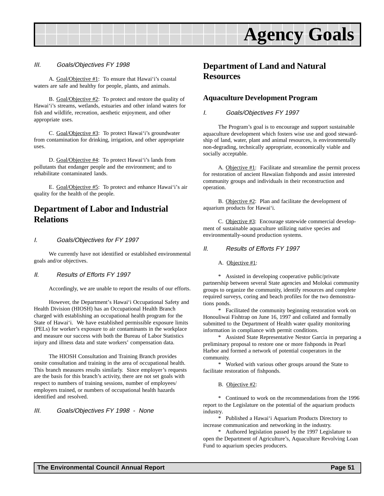

#### III. Goals/Objectives FY 1998

A. Goal/Objective #1: To ensure that Hawai'i's coastal waters are safe and healthy for people, plants, and animals.

B. Goal/Objective #2: To protect and restore the quality of Hawai'i's streams, wetlands, estuaries and other inland waters for fish and wildlife, recreation, aesthetic enjoyment, and other appropriate uses.

C. Goal/Objective #3: To protect Hawai'i's groundwater from contamination for drinking, irrigation, and other appropriate uses.

D. Goal/Objective #4: To protect Hawai'i's lands from pollutants that endanger people and the environment; and to rehabilitate contaminated lands.

E. Goal/Objective #5: To protect and enhance Hawai'i's air quality for the health of the people.

## **Department of Labor and Industrial Relations**

#### I. Goals/Objectives for FY 1997

We currently have not identified or established environmental goals and/or objectives.

#### II. Results of Efforts FY 1997

Accordingly, we are unable to report the results of our efforts.

However, the Department's Hawai'i Occupational Safety and Health Division (HIOSH) has an Occupational Health Branch charged with establishing an occupational health program for the State of Hawai'i. We have established permissible exposure limits (PELs) for worker's exposure to air contaminants in the workplace and measure our success with both the Bureau of Labor Statistics injury and illness data and state workers' compensation data.

The HIOSH Consultation and Training Branch provides onsite consultation and training in the area of occupational health. This branch measures results similarly. Since employer's requests are the basis for this branch's activity, there are not set goals with respect to numbers of training sessions, number of employees/ employers trained, or numbers of occupational health hazards identified and resolved.

#### III. Goals/Objectives FY 1998 - None

## **Department of Land and Natural Resources**

### **Aquaculture Development Program**

#### I. Goals/Objectives FY 1997

The Program's goal is to encourage and support sustainable aquaculture development which fosters wise use and good stewardship of land, water, plant and animal resources, is environmentally non-degrading, technically appropriate, economically viable and socially acceptable.

A. Objective #1: Facilitate and streamline the permit process for restoration of ancient Hawaiian fishponds and assist interested community groups and individuals in their reconstruction and operation.

B. Objective #2: Plan and facilitate the development of aquarium products for Hawai'i.

C. Objective #3: Encourage statewide commercial development of sustainable aquaculture utilizing native species and environmentally-sound production systems.

#### II. Results of Efforts FY 1997

A. Objective #1:

\* Assisted in developing cooperative public/private partnership between several State agencies and Molokai community groups to organize the community, identify resources and complete required surveys, coring and beach profiles for the two demonstrations ponds.

\* Facilitated the community beginning restoration work on Honouliwai Fishtrap on June 16, 1997 and collated and formally submitted to the Department of Health water quality monitoring information in compliance with permit conditions.

\* Assisted State Representative Nestor Garcia in preparing a preliminary proposal to restore one or more fishponds in Pearl Harbor and formed a network of potential cooperators in the community.

\* Worked with various other groups around the State to facilitate restoration of fishponds.

B. Objective #2:

\* Continued to work on the recommendations from the 1996 report to the Legislature on the potential of the aquarium products industry.

\* Published a Hawai'i Aquarium Products Directory to increase communication and networking in the industry.

\* Authored legislation passed by the 1997 Legislature to open the Department of Agriculture's, Aquaculture Revolving Loan Fund to aquarium species producers.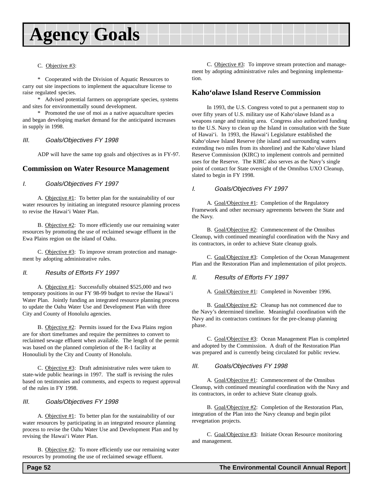## **Agency Goals**

#### C. Objective #3:

\* Cooperated with the Division of Aquatic Resources to carry out site inspections to implement the aquaculture license to raise regulated species.

\* Advised potential farmers on appropriate species, systems and sites for environmentally sound development.

\* Promoted the use of moi as a native aquaculture species and began developing market demand for the anticipated increases in supply in 1998.

#### III. Goals/Objectives FY 1998

ADP will have the same top goals and objectives as in FY-97.

### **Commission on Water Resource Management**

#### I. Goals/Objectives FY 1997

A. Objective #1: To better plan for the sustainability of our water resources by initiating an integrated resource planning process to revise the Hawai'i Water Plan.

B. Objective #2: To more efficiently use our remaining water resources by promoting the use of reclaimed sewage effluent in the Ewa Plains region on the island of Oahu.

C. Objective #3: To improve stream protection and management by adopting administrative rules.

#### II. Results of Efforts FY 1997

A. Objective #1: Successfully obtained \$525,000 and two temporary positions in our FY 98-99 budget to revise the Hawai'i Water Plan. Jointly funding an integrated resource planning process to update the Oahu Water Use and Development Plan with three City and County of Honolulu agencies.

B. Objective #2: Permits issued for the Ewa Plains region are for short timeframes and require the permittees to convert to reclaimed sewage effluent when available. The length of the permit was based on the planned completion of the R-1 facility at Honouliuli by the City and County of Honolulu.

C. Objective #3: Draft administrative rules were taken to state-wide public hearings in 1997. The staff is revising the rules based on testimonies and comments, and expects to request approval of the rules in FY 1998.

### III. Goals/Objectives FY 1998

A. Objective #1: To better plan for the sustainability of our water resources by participating in an integrated resource planning process to revise the Oahu Water Use and Development Plan and by revising the Hawai'i Water Plan.

B. Objective #2: To more efficiently use our remaining water resources by promoting the use of reclaimed sewage effluent.

C. Objective #3: To improve stream protection and management by adopting administrative rules and beginning implementation.

### **Kaho'olawe Island Reserve Commission**

In 1993, the U.S. Congress voted to put a permanent stop to over fifty years of U.S. military use of Kaho'olawe Island as a weapons range and training area. Congress also authorized funding to the U.S. Navy to clean up the Island in consultation with the State of Hawai'i. In 1993, the Hawai'i Legislature established the Kaho'olawe Island Reserve (the island and surrounding waters extending two miles from its shoreline) and the Kaho'olawe Island Reserve Commission (KIRC) to implement controls and permitted uses for the Reserve. The KIRC also serves as the Navy's single point of contact for State oversight of the Omnibus UXO Cleanup, slated to begin in FY 1998.

#### I. Goals/Objectives FY 1997

A. Goal/Objective #1: Completion of the Regulatory Framework and other necessary agreements between the State and the Navy.

B. Goal/Objective #2: Commencement of the Omnibus Cleanup, with continued meaningful coordination with the Navy and its contractors, in order to achieve State cleanup goals.

C. Goal/Objective #3: Completion of the Ocean Management Plan and the Restoration Plan and implementation of pilot projects.

### II. Results of Efforts FY 1997

A. Goal/Objective #1: Completed in November 1996.

B. Goal/Objective #2: Cleanup has not commenced due to the Navy's determined timeline. Meaningful coordination with the Navy and its contractors continues for the pre-cleanup planning phase.

C. Goal/Objective #3: Ocean Management Plan is completed and adopted by the Commission. A draft of the Restoration Plan was prepared and is currently being circulated for public review.

#### III. Goals/Objectives FY 1998

A. Goal/Objective #1: Commencement of the Omnibus Cleanup, with continued meaningful coordination with the Navy and its contractors, in order to achieve State cleanup goals.

B. Goal/Objective #2: Completion of the Restoration Plan, integration of the Plan into the Navy cleanup and begin pilot revegetation projects.

C. Goal/Objective #3: Initiate Ocean Resource monitoring and management.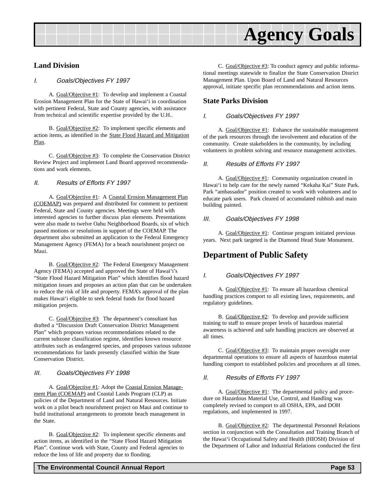

### **Land Division**

#### I. Goals/Objectives FY 1997

A. Goal/Objective #1: To develop and implement a Coastal Erosion Management Plan for the State of Hawai'i in coordination with pertinent Federal, State and County agencies, with assistance from technical and scientific expertise provided by the U.H..

B. Goal/Objective #2: To implement specific elements and action items, as identified in the State Flood Hazard and Mitigation Plan.

C. Goal/Objective #3: To complete the Conservation District Review Project and implement Land Board approved recommendations and work elements.

### II. Results of Efforts FY 1997

A. Goal/Objective #1: A Coastal Erosion Management Plan (COEMAP) was prepared and distributed for comment to pertinent Federal, State and County agencies. Meetings were held with interested agencies to further discuss plan elements. Presentations were also made to twelve Oahu Neighborhood Boards, six of which passed motions or resolutions in support of the COEMAP. The department also submitted an application to the Federal Emergency Management Agency (FEMA) for a beach nourishment project on Maui.

B. Goal/Objective #2: The Federal Emergency Management Agency (FEMA) accepted and approved the State of Hawai'i's "State Flood Hazard Mitigation Plan" which identifies flood hazard mitigation issues and proposes an action plan that can be undertaken to reduce the risk of life and property. FEMA's approval of the plan makes Hawai'i eligible to seek federal funds for flood hazard mitigation projects.

C. Goal/Objective #3: The department's consultant has drafted a "Discussion Draft Conservation District Management Plan" which proposes various recommendations related to the current subzone classification regime, identifies known resource attributes such as endangered species, and proposes various subzone recommendations for lands presently classified within the State Conservation District.

#### III. Goals/Objectives FY 1998

A. Goal/Objective #1: Adopt the Coastal Erosion Management Plan (COEMAP) and Coastal Lands Program (CLP) as policies of the Department of Land and Natural Resources. Initiate work on a pilot beach nourishment project on Maui and continue to build institutional arrangements to promote beach management in the State.

B. Goal/Objective #2: To implement specific elements and action items, as identified in the "State Flood Hazard Mitigation Plan". Continue work with State, County and Federal agencies to reduce the loss of life and property due to flooding.

### **State Parks Division**

### I. Goals/Objectives FY 1997

A. Goal/Objective #1: Enhance the sustainable management of the park resources through the involvement and education of the community. Create stakeholders in the community, by including volunteers in problem solving and resource management activities.

#### II. Results of Efforts FY 1997

A. Goal/Objective #1: Community organization created in Hawai'i to help care for the newly named "Kekaha Kai" State Park. Park "ambassador" position created to work with volunteers and to educate park users. Park cleared of accumulated rubbish and main building painted.

#### III. Goals/Objectives FY 1998

A. Goal/Objective #1: Continue program initiated previous years. Next park targeted is the Diamond Head State Monument.

## **Department of Public Safety**

### I. Goals/Objectives FY 1997

A. Goal/Objective #1: To ensure all hazardous chemical handling practices comport to all existing laws, requirements, and regulatory guidelines.

B. Goal/Objective #2: To develop and provide sufficient training to staff to ensure proper levels of hazardous material awareness is achieved and safe handling practices are observed at all times.

C. Goal/Objective #3: To maintain proper oversight over departmental operations to ensure all aspects of hazardous material handling comport to established policies and procedures at all times.

### II. Results of Efforts FY 1997

A. Goal/Objective #1: The departmental policy and procedure on Hazardous Material Use, Control, and Handling was completely revised to comport to all OSHA, EPA, and DOH regulations, and implemented in 1997.

B. Goal/Objective #2: The departmental Personnel Relations section in conjunction with the Consultation and Training Branch of the Hawai'i Occupational Safety and Health (HIOSH) Division of the Department of Labor and Industrial Relations conducted the first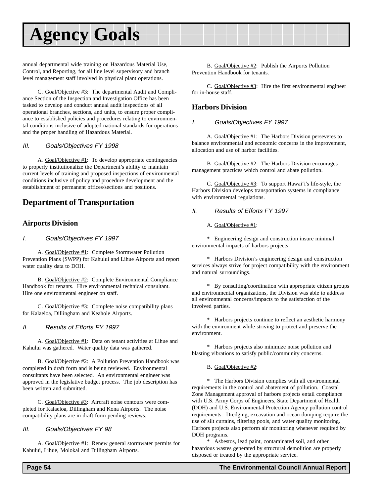## **Agency Goals**

annual departmental wide training on Hazardous Material Use, Control, and Reporting, for all line level supervisory and branch level management staff involved in physical plant operations.

C. Goal/Objective #3: The departmental Audit and Compliance Section of the Inspection and Investigation Office has been tasked to develop and conduct annual audit inspections of all operational branches, sections, and units, to ensure proper compliance to established policies and procedures relating to environmental conditions inclusive of adopted national standards for operations and the proper handling of Hazardous Material.

### III. Goals/Objectives FY 1998

A. Goal/Objective #1: To develop appropriate contingencies to properly institutionalize the Department's ability to maintain current levels of training and proposed inspections of environmental conditions inclusive of policy and procedure development and the establishment of permanent offices/sections and positions.

## **Department of Transportation**

## **Airports Division**

### I. Goals/Objectives FY 1997

A. Goal/Objective #1: Complete Stormwater Pollution Prevention Plans (SWPP) for Kahului and Lihue Airports and report water quality data to DOH.

B. Goal/Objective #2: Complete Environmental Compliance Handbook for tenants. Hire environmental technical consultant. Hire one environmental engineer on staff.

C. Goal/Objective #3: Complete noise compatibility plans for Kalaeloa, Dillingham and Keahole Airports.

### II. Results of Efforts FY 1997

A. Goal/Objective #1: Data on tenant activities at Lihue and Kahului was gathered. Water quality data was gathered.

B. Goal/Objective #2: A Pollution Prevention Handbook was completed in draft form and is being reviewed. Environmental consultants have been selected. An environmental engineer was approved in the legislative budget process. The job description has been written and submitted.

C. Goal/Objective #3: Aircraft noise contours were completed for Kalaeloa, Dillingham and Kona Airports. The noise compatibility plans are in draft form pending reviews.

### III. Goals/Objectives FY 98

A. Goal/Objective #1: Renew general stormwater permits for Kahului, Lihue, Molokai and Dillingham Airports.

B. Goal/Objective #2: Publish the Airports Pollution Prevention Handbook for tenants.

C. Goal/Objective #3: Hire the first environmental engineer for in-house staff.

## **Harbors Division**

### I. Goals/Objectives FY 1997

A. Goal/Objective #1: The Harbors Division perseveres to balance environmental and economic concerns in the improvement, allocation and use of harbor facilities.

B Goal/Objective #2: The Harbors Division encourages management practices which control and abate pollution.

C. Goal/Objective #3: To support Hawai'i's life-style, the Harbors Division develops transportation systems in compliance with environmental regulations.

### II. Results of Efforts FY 1997

A. Goal/Objective #1:

\* Engineering design and construction insure minimal environmental impacts of harbors projects.

\* Harbors Division's engineering design and construction services always strive for project compatibility with the environment and natural surroundings.

\* By consulting/coordination with appropriate citizen groups and environmental organizations, the Division was able to address all environmental concerns/impacts to the satisfaction of the involved parties.

\* Harbors projects continue to reflect an aesthetic harmony with the environment while striving to protect and preserve the environment.

\* Harbors projects also minimize noise pollution and blasting vibrations to satisfy public/community concerns.

B. Goal/Objective #2:

\* The Harbors Division complies with all environmental requirements in the control and abatement of pollution. Coastal Zone Management approval of harbors projects entail compliance with U.S. Army Corps of Engineers, State Department of Health (DOH) and U.S. Environmental Protection Agency pollution control requirements. Dredging, excavation and ocean dumping require the use of silt curtains, filtering pools, and water quality monitoring. Harbors projects also perform air monitoring whenever required by DOH programs.

\* Asbestos, lead paint, contaminated soil, and other hazardous wastes generated by structural demolition are properly disposed or treated by the appropriate service.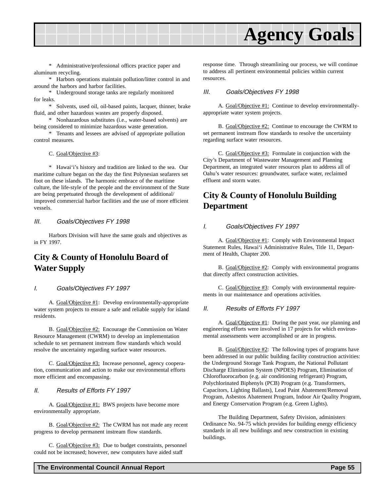

\* Administrative/professional offices practice paper and aluminum recycling.

\* Harbors operations maintain pollution/litter control in and around the harbors and harbor facilities.

\* Underground storage tanks are regularly monitored for leaks.

\* Solvents, used oil, oil-based paints, lacquer, thinner, brake fluid, and other hazardous wastes are properly disposed.

\* Nonhazardous substitutes (i.e., water-based solvents) are being considered to minimize hazardous waste generation.

\* Tenants and lessees are advised of appropriate pollution control measures.

#### C. Goal/Objective #3:

\* Hawai'i's history and tradition are linked to the sea. Our maritime culture began on the day the first Polynesian seafarers set foot on these islands. The harmonic embrace of the maritime culture, the life-style of the people and the environment of the State are being perpetuated through the development of additional/ improved commercial harbor facilities and the use of more efficient vessels.

#### III. Goals/Objectives FY 1998

Harbors Division will have the same goals and objectives as in FY 1997.

## **City & County of Honolulu Board of Water Supply**

#### I. Goals/Objectives FY 1997

A. Goal/Objective #1: Develop environmentally-appropriate water system projects to ensure a safe and reliable supply for island residents.

B. Goal/Objective #2: Encourage the Commission on Water Resource Management (CWRM) to develop an implementation schedule to set permanent instream flow standards which would resolve the uncertainty regarding surface water resources.

C. Goal/Objective #3: Increase personnel, agency cooperation, communication and action to make our environmental efforts more efficient and encompassing.

#### II. Results of Efforts FY 1997

A. Goal/Objective #1: BWS projects have become more environmentally appropriate.

B. Goal/Objective #2: The CWRM has not made any recent progress to develop permanent instream flow standards.

C. Goal/Objective #3: Due to budget constraints, personnel could not be increased; however, new computers have aided staff

response time. Through streamlining our process, we will continue to address all pertinent environmental policies within current resources.

#### III. Goals/Objectives FY 1998

A. Goal/Objective #1: Continue to develop environmentallyappropriate water system projects.

B. Goal/Objective #2: Continue to encourage the CWRM to set permanent instream flow standards to resolve the uncertainty regarding surface water resources.

C. Goal/Objective #3: Formulate in conjunction with the City's Department of Wastewater Management and Planning Department, an integrated water resources plan to address all of Oahu's water resources: groundwater, surface water, reclaimed effluent and storm water.

## **City & County of Honolulu Building Department**

#### I. Goals/Objectives FY 1997

A. Goal/Objective #1: Comply with Environmental Impact Statement Rules, Hawai'i Administrative Rules, Title 11, Department of Health, Chapter 200.

B. Goal/Objective #2: Comply with environmental programs that directly affect construction activities.

C. Goal/Objective #3: Comply with environmental requirements in our maintenance and operations activities.

#### II. Results of Efforts FY 1997

A. Goal/Objective #1: During the past year, our planning and engineering efforts were involved in 17 projects for which environmental assessments were accomplished or are in progress.

B. Goal/Objective #2: The following types of programs have been addressed in our public building facility construction activities: the Underground Storage Tank Program, the National Pollutant Discharge Elimination System (NPDES) Program, Elimination of Chlorofluorocarbon (e.g. air conditioning refrigerant) Program, Polychlorinated Biphenyls (PCB) Program (e.g. Transformers, Capacitors, Lighting Ballasts), Lead Paint Abatement/Removal Program, Asbestos Abatement Program, Indoor Air Quality Program, and Energy Conservation Program (e.g. Green Lights).

The Building Department, Safety Division, administers Ordinance No. 94-75 which provides for building energy efficiency standards in all new buildings and new construction in existing buildings.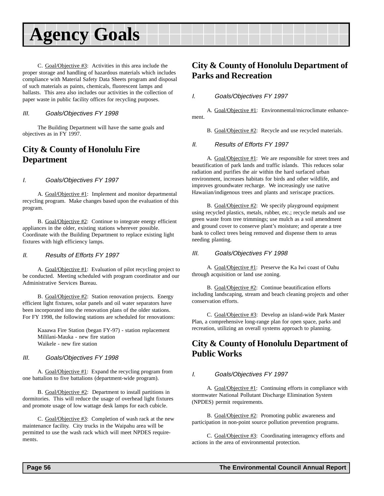## **Agency Goals**

C. Goal/Objective #3: Activities in this area include the proper storage and handling of hazardous materials which includes compliance with Material Safety Data Sheets program and disposal of such materials as paints, chemicals, fluorescent lamps and ballasts. This area also includes our activities in the collection of paper waste in public facility offices for recycling purposes.

### III. Goals/Objectives FY 1998

The Building Department will have the same goals and objectives as in FY 1997.

## **City & County of Honolulu Fire Department**

### I. Goals/Objectives FY 1997

A. Goal/Objective #1: Implement and monitor departmental recycling program. Make changes based upon the evaluation of this program.

B. Goal/Objective #2: Continue to integrate energy efficient appliances in the older, existing stations wherever possible. Coordinate with the Building Department to replace existing light fixtures with high efficiency lamps.

### II. Results of Efforts FY 1997

A. Goal/Objective #1: Evaluation of pilot recycling project to be conducted. Meeting scheduled with program coordinator and our Administrative Services Bureau.

B. Goal/Objective #2: Station renovation projects. Energy efficient light fixtures, solar panels and oil water separators have been incorporated into the renovation plans of the older stations. For FY 1998, the following stations are scheduled for renovations:

Kaaawa Fire Station (began FY-97) - station replacement Mililani-Mauka - new fire station Waikele - new fire station

### III. Goals/Objectives FY 1998

A. Goal/Objective #1: Expand the recycling program from one battalion to five battalions (department-wide program).

B. Goal/Objective #2: Department to install partitions in dormitories. This will reduce the usage of overhead light fixtures and promote usage of low wattage desk lamps for each cubicle.

C. Goal/Objective #3: Completion of wash rack at the new maintenance facility. City trucks in the Waipahu area will be permitted to use the wash rack which will meet NPDES requirements.

## **City & County of Honolulu Department of Parks and Recreation**

### I. Goals/Objectives FY 1997

A. Goal/Objective #1: Environmental/microclimate enhancement.

B. Goal/Objective #2: Recycle and use recycled materials.

### II. Results of Efforts FY 1997

A. Goal/Objective #1: We are responsible for street trees and beautification of park lands and traffic islands. This reduces solar radiation and purifies the air within the hard surfaced urban environment, increases habitats for birds and other wildlife, and improves groundwater recharge. We increasingly use native Hawaiian/indigenous trees and plants and xeriscape practices.

B. Goal/Objective #2: We specify playground equipment using recycled plastics, metals, rubber, etc.; recycle metals and use green waste from tree trimmings; use mulch as a soil amendment and ground cover to conserve plant's moisture; and operate a tree bank to collect trees being removed and dispense them to areas needing planting.

### III. Goals/Objectives FY 1998

A. Goal/Objective #1: Preserve the Ka Iwi coast of Oahu through acquisition or land use zoning.

B. Goal/Objective #2: Continue beautification efforts including landscaping, stream and beach cleaning projects and other conservation efforts.

C. Goal/Objective #3: Develop an island-wide Park Master Plan, a comprehensive long-range plan for open space, parks and recreation, utilizing an overall systems approach to planning.

## **City & County of Honolulu Department of Public Works**

### I. Goals/Objectives FY 1997

A. Goal/Objective #1: Continuing efforts in compliance with stormwater National Pollutant Discharge Elimination System (NPDES) permit requirements.

B. Goal/Objective #2: Promoting public awareness and participation in non-point source pollution prevention programs.

C. Goal/Objective #3: Coordinating interagency efforts and actions in the area of environmental protection.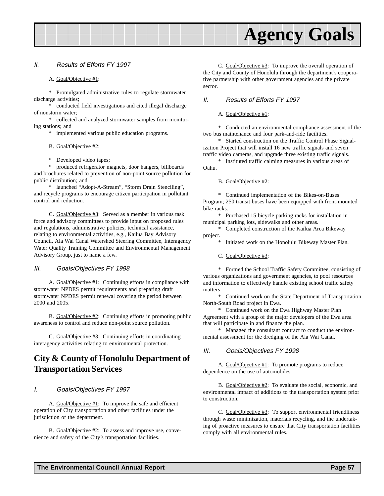

#### II. Results of Efforts FY 1997

#### A. Goal/Objective #1:

\* Promulgated administrative rules to regulate stormwater discharge activities;

\* conducted field investigations and cited illegal discharge of nonstorm water;

\* collected and analyzed stormwater samples from monitoring stations; and

\* implemented various public education programs.

#### B. Goal/Objective #2:

\* Developed video tapes;

\* produced refrigerator magnets, door hangers, billboards and brochures related to prevention of non-point source pollution for public distribution; and

\* launched "Adopt-A-Stream", "Storm Drain Stenciling", and recycle programs to encourage citizen participation in pollutant control and reduction.

C. Goal/Objective #3: Served as a member in various task force and advisory committees to provide input on proposed rules and regulations, administrative policies, technical assistance, relating to environmental activities, e.g., Kailua Bay Advisory Council, Ala Wai Canal Watershed Steering Committee, Interagency Water Quality Training Committee and Environmental Management Advisory Group, just to name a few.

#### III. Goals/Objectives FY 1998

A. Goal/Objective #1: Continuing efforts in compliance with stormwater NPDES permit requirements and preparing draft stormwater NPDES permit renewal covering the period between 2000 and 2005.

B. Goal/Objective #2: Continuing efforts in promoting public awareness to control and reduce non-point source pollution.

C. Goal/Objective #3: Continuing efforts in coordinating interagency activities relating to environmental protection.

## **City & County of Honolulu Department of Transportation Services**

#### I. Goals/Objectives FY 1997

A. Goal/Objective #1: To improve the safe and efficient operation of City transportation and other facilities under the jurisdiction of the department.

B. Goal/Objective #2: To assess and improve use, convenience and safety of the City's transportation facilities.

C. Goal/Objective #3: To improve the overall operation of the City and County of Honolulu through the department's cooperative partnership with other government agencies and the private sector.

### II. Results of Efforts FY 1997

### A. Goal/Objective #1:

\* Conducted an environmental compliance assessment of the two bus maintenance and four park-and-ride facilities.

\* Started construction on the Traffic Control Phase Signalization Project that will install 16 new traffic signals and seven traffic video cameras, and upgrade three existing traffic signals.

\* Instituted traffic calming measures in various areas of Oahu.

#### B. Goal/Objective #2:

\* Continued implementation of the Bikes-on-Buses Program; 250 transit buses have been equipped with front-mounted bike racks.

\* Purchased 15 bicycle parking racks for installation in municipal parking lots, sidewalks and other areas.

\* Completed construction of the Kailua Area Bikeway project.

Initiated work on the Honolulu Bikeway Master Plan.

#### C. Goal/Objective #3:

\* Formed the School Traffic Safety Committee, consisting of various organizations and government agencies, to pool resources and information to effectively handle existing school traffic safety matters.

\* Continued work on the State Department of Transportation North-South Road project in Ewa.

\* Continued work on the Ewa Highway Master Plan Agreement with a group of the major developers of the Ewa area that will participate in and finance the plan.

\* Managed the consultant contract to conduct the environmental assessment for the dredging of the Ala Wai Canal.

#### III. Goals/Objectives FY 1998

A. Goal/Objective #1: To promote programs to reduce dependence on the use of automobiles.

B. Goal/Objective #2: To evaluate the social, economic, and environmental impact of additions to the transportation system prior to construction.

C. Goal/Objective #3: To support environmental friendliness through waste minimization, materials recycling, and the undertaking of proactive measures to ensure that City transportation facilities comply with all environmental rules.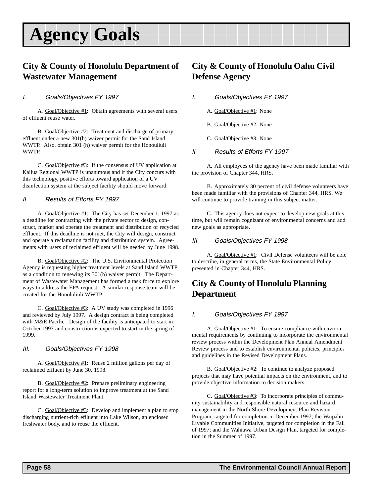## **Agency Goals**

## **City & County of Honolulu Department of Wastewater Management**

### I. Goals/Objectives FY 1997

A. Goal/Objective #1: Obtain agreements with several users of effluent reuse water.

B. Goal/Objective #2: Treatment and discharge of primary effluent under a new 301(h) waiver permit for the Sand Island WWTP. Also, obtain 301 (h) waiver permit for the Honouliuli WWTP.

C. Goal/Objective #3: If the consensus of UV application at Kailua Regional WWTP is unanimous and if the City concurs with this technology, positive efforts toward application of a UV disinfection system at the subject facility should move forward.

### II. Results of Efforts FY 1997

A. Goal/Objective #1: The City has set December 1, 1997 as a deadline for contracting with the private sector to design, construct, market and operate the treatment and distribution of recycled effluent. If this deadline is not met, the City will design, construct and operate a reclamation facility and distribution system. Agreements with users of reclaimed effluent will be needed by June 1998.

B. Goal/Objective #2: The U.S. Environmental Protection Agency is requesting higher treatment levels at Sand Island WWTP as a condition to renewing its 301(h) waiver permit. The Department of Wastewater Management has formed a task force to explore ways to address the EPA request. A similar response team will be created for the Honoluliuli WWTP.

C. Goal/Objective #3: A UV study was completed in 1996 and reviewed by July 1997. A design contract is being completed with M&E Pacific. Design of the facility is anticipated to start in October 1997 and construction is expected to start in the spring of 1999.

### III. Goals/Objectives FY 1998

A. Goal/Objective #1: Reuse 2 million gallons per day of reclaimed effluent by June 30, 1998.

B. Goal/Objective #2: Prepare preliminary engineering report for a long-term solution to improve treatment at the Sand Island Wastewater Treatment Plant.

C. Goal/Objective #3: Develop and implement a plan to stop discharging nutrient-rich effluent into Lake Wilson, an enclosed freshwater body, and to reuse the effluent.

## **City & County of Honolulu Oahu Civil Defense Agency**

- I. Goals/Objectives FY 1997
	- A. Goal/Objective #1: None
	- B. Goal/Objective #2: None
	- C. Goal/Objective #3: None
- II. Results of Efforts FY 1997

A. All employees of the agency have been made familiar with the provision of Chapter 344, HRS.

B. Approximately 30 percent of civil defense volunteers have been made familiar with the provisions of Chapter 344, HRS. We will continue to provide training in this subject matter.

C. This agency does not expect to develop new goals at this time, but will remain cognizant of environmental concerns and add new goals as appropriate.

### III. Goals/Objectives FY 1998

A. Goal/Objective #1: Civil Defense volunteers will be able to describe, in general terms, the State Environmental Policy presented in Chapter 344, HRS.

## **City & County of Honolulu Planning Department**

### I. Goals/Objectives FY 1997

A. Goal/Objective #1: To ensure compliance with environmental requirements by continuing to incorporate the environmental review process within the Development Plan Annual Amendment Review process and to establish environmental policies, principles and guidelines in the Revised Development Plans.

B. Goal/Objective #2: To continue to analyze proposed projects that may have potential impacts on the environment, and to provide objective information to decision makers.

C. Goal/Objective #3: To incorporate principles of community sustainability and responsible natural resource and hazard management in the North Shore Development Plan Revision Program, targeted for completion in December 1997; the Waipahu Livable Communities Initiative, targeted for completion in the Fall of 1997; and the Wahiawa Urban Design Plan, targeted for completion in the Summer of 1997.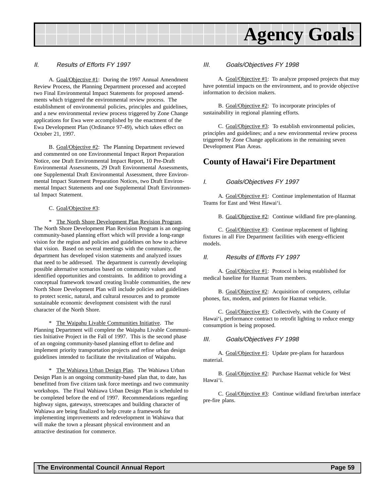

#### II. Results of Efforts FY 1997

A. Goal/Objective #1: During the 1997 Annual Amendment Review Process, the Planning Department processed and accepted two Final Environmental Impact Statements for proposed amendments which triggered the environmental review process. The establishment of environmental policies, principles and guidelines, and a new environmental review process triggered by Zone Change applications for Ewa were accomplished by the enactment of the Ewa Development Plan (Ordinance 97-49), which takes effect on October 21, 1997.

B. Goal/Objective #2: The Planning Department reviewed and commented on one Environmental Impact Report Preparation Notice, one Draft Environmental Impact Report, 10 Pre-Draft Environmental Assessments, 29 Draft Environmental Assessments, one Supplemental Draft Environmental Assessment, three Environmental Impact Statement Preparation Notices, two Draft Environmental Impact Statements and one Supplemental Draft Environmental Impact Statement.

#### C. Goal/Objective #3:

\* The North Shore Development Plan Revision Program. The North Shore Development Plan Revision Program is an ongoing community-based planning effort which will provide a long-range vision for the region and policies and guidelines on how to achieve that vision. Based on several meetings with the community, the department has developed vision statements and analyzed issues that need to be addressed. The department is currently developing possible alternative scenarios based on community values and identified opportunities and constraints. In addition to providing a conceptual framework toward creating livable communities, the new North Shore Development Plan will include policies and guidelines to protect scenic, natural, and cultural resources and to promote sustainable economic development consistent with the rural character of the North Shore.

\* The Waipahu Livable Communities Initiative. The Planning Department will complete the Waipahu Livable Communities Initiative Project in the Fall of 1997. This is the second phase of an ongoing community-based planning effort to define and implement priority transportation projects and refine urban design guidelines intended to facilitate the revitalization of Waipahu.

\* The Wahiawa Urban Design Plan. The Wahiawa Urban Design Plan is an ongoing community-based plan that, to date, has benefitted from five citizen task force meetings and two community workshops. The Final Wahiawa Urban Design Plan is scheduled to be completed before the end of 1997. Recommendations regarding highway signs, gateways, streetscapes and building character of Wahiawa are being finalized to help create a framework for implementing improvements and redevelopment in Wahiawa that will make the town a pleasant physical environment and an attractive destination for commerce.

#### III. Goals/Objectives FY 1998

A. Goal/Objective #1: To analyze proposed projects that may have potential impacts on the environment, and to provide objective information to decision makers.

B. Goal/Objective #2: To incorporate principles of sustainability in regional planning efforts.

C. Goal/Objective #3: To establish environmental policies, principles and guidelines; and a new environmental review process triggered by Zone Change applications in the remaining seven Development Plan Areas.

## **County of Hawai'i Fire Department**

#### I. Goals/Objectives FY 1997

A. Goal/Objective #1: Continue implementation of Hazmat Teams for East and West Hawai'i.

B. Goal/Objective #2: Continue wildland fire pre-planning.

C. Goal/Objective #3: Continue replacement of lighting fixtures in all Fire Department facilities with energy-efficient models.

#### II. Results of Efforts FY 1997

A. Goal/Objective #1: Protocol is being established for medical baseline for Hazmat Team members.

B. Goal/Objective #2: Acquisition of computers, cellular phones, fax, modem, and printers for Hazmat vehicle.

C. Goal/Objective #3; Collectively, with the County of Hawai'i, performance contract to retrofit lighting to reduce energy consumption is being proposed.

#### III. Goals/Objectives FY 1998

A. Goal/Objective #1: Update pre-plans for hazardous material.

B. Goal/Objective #2: Purchase Hazmat vehicle for West Hawai'i.

C. Goal/Objective #3: Continue wildland fire/urban interface pre-fire plans.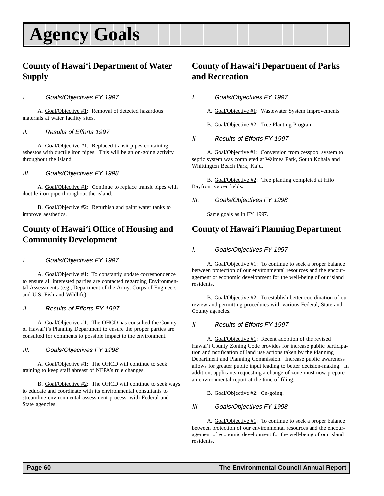## **Agency Goals**

## **County of Hawai'i Department of Water Supply**

### I. Goals/Objectives FY 1997

A. Goal/Objective #1: Removal of detected hazardous materials at water facility sites.

### II. Results of Efforts 1997

A. Goal/Objective #1: Replaced transit pipes containing asbestos with ductile iron pipes. This will be an on-going activity throughout the island.

### III. Goals/Objectives FY 1998

A. Goal/Objective #1: Continue to replace transit pipes with ductile iron pipe throughout the island.

B. Goal/Objective #2: Refurbish and paint water tanks to improve aesthetics.

## **County of Hawai'i Office of Housing and Community Development**

### I. Goals/Objectives FY 1997

A. Goal/Objective #1: To constantly update correspondence to ensure all interested parties are contacted regarding Environmental Assessments (e.g., Department of the Army, Corps of Engineers and U.S. Fish and Wildlife).

### II. Results of Efforts FY 1997

A. Goal/Objective #1: The OHCD has consulted the County of Hawai'i's Planning Department to ensure the proper parties are consulted for comments to possible impact to the environment.

### III. Goals/Objectives FY 1998

A. Goal/Objective #1: The OHCD will continue to seek training to keep staff abreast of NEPA's rule changes.

B. Goal/Objective #2: The OHCD will continue to seek ways to educate and coordinate with its environmental consultants to streamline environmental assessment process, with Federal and State agencies.

## **County of Hawai'i Department of Parks and Recreation**

I. Goals/Objectives FY 1997

- A. Goal/Objective #1: Wastewater System Improvements
- B. Goal/Objective #2: Tree Planting Program
- II. Results of Efforts FY 1997

A. Goal/Objective #1: Conversion from cesspool system to septic system was completed at Waimea Park, South Kohala and Whittington Beach Park, Ka'u.

B. Goal/Objective #2: Tree planting completed at Hilo Bayfront soccer fields.

### III. Goals/Objectives FY 1998

Same goals as in FY 1997.

## **County of Hawai'i Planning Department**

### I. Goals/Objectives FY 1997

A. Goal/Objective #1: To continue to seek a proper balance between protection of our environmental resources and the encouragement of economic development for the well-being of our island residents.

B. Goal/Objective #2: To establish better coordination of our review and permitting procedures with various Federal, State and County agencies.

### II. Results of Efforts FY 1997

A. Goal/Objective #1: Recent adoption of the revised Hawai'i County Zoning Code provides for increase public participation and notification of land use actions taken by the Planning Department and Planning Commission. Increase public awareness allows for greater public input leading to better decision-making. In addition, applicants requesting a change of zone must now prepare an environmental report at the time of filing.

### B. Goal/Objective #2: On-going.

### III. Goals/Objectives FY 1998

A. Goal/Objective #1: To continue to seek a proper balance between protection of our environmental resources and the encouragement of economic development for the well-being of our island residents.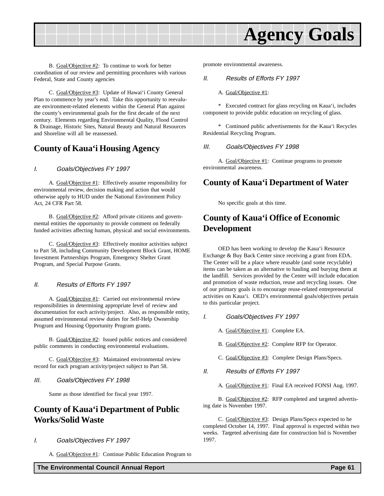

B. Goal/Objective #2: To continue to work for better coordination of our review and permitting procedures with various Federal, State and County agencies

C. Goal/Objective #3: Update of Hawai'i County General Plan to commence by year's end. Take this opportunity to reevaluate environment-related elements within the General Plan against the county's environmental goals for the first decade of the next century. Elements regarding Environmental Quality, Flood Control & Drainage, Historic Sites, Natural Beauty and Natural Resources and Shoreline will all be reassessed.

## **County of Kaua'i Housing Agency**

### I. Goals/Objectives FY 1997

A. Goal/Objective #1: Effectively assume responsibility for environmental review, decision making and action that would otherwise apply to HUD under the National Environment Policy Act, 24 CFR Part 58.

B. Goal/Objective #2: Afford private citizens and governmental entities the opportunity to provide comment on federally funded activities affecting human, physical and social environments.

C. Goal/Objective #3: Effectively monitor activities subject to Part 58, including Community Development Block Grant, HOME Investment Partnerships Program, Emergency Shelter Grant Program, and Special Purpose Grants.

### II. Results of Efforts FY 1997

A. Goal/Objective #1: Carried out environmental review responsibilities in determining appropriate level of review and documentation for each activity/project. Also, as responsible entity, assumed environmental review duties for Self-Help Ownership Program and Housing Opportunity Program grants.

B. Goal/Objective #2: Issued public notices and considered public comments in conducting environmental evaluations.

C. Goal/Objective #3: Maintained environmental review record for each program activity/project subject to Part 58.

#### III. Goals/Objectives FY 1998

Same as those identified for fiscal year 1997.

## **County of Kaua'i Department of Public Works/Solid Waste**

### I. Goals/Objectives FY 1997

A. Goal/Objective #1: Continue Public Education Program to

promote environmental awareness.

#### II. Results of Efforts FY 1997

#### A. Goal/Objective #1:

\* Executed contract for glass recycling on Kaua'i, includes component to provide public education on recycling of glass.

\* Continued public advertisements for the Kaua'i Recycles Residential Recycling Program.

#### III. Goals/Objectives FY 1998

A. Goal/Objective #1: Continue programs to promote environmental awareness.

## **County of Kaua'i Department of Water**

No specific goals at this time.

## **County of Kaua'i Office of Economic Development**

OED has been working to develop the Kaua'i Resource Exchange & Buy Back Center since receiving a grant from EDA. The Center will be a place where reusable (and some recyclable) items can be taken as an alternative to hauling and burying them at the landfill. Services provided by the Center will include education and promotion of waste reduction, reuse and recycling issues. One of our primary goals is to encourage reuse-related entrepreneurial activities on Kaua'i. OED's environmental goals/objectives pertain to this particular project.

- I. Goals/Objectives FY 1997
	- A. Goal/Objective #1: Complete EA.
	- B. Goal/Objective #2: Complete RFP for Operator.
	- C. Goal/Objective #3: Complete Design Plans/Specs.
- II. Results of Efforts FY 1997

A. Goal/Objective #1: Final EA received FONSI Aug. 1997.

B. Goal/Objective #2: RFP completed and targeted advertising date is November 1997.

C. Goal/Objective #3: Design Plans/Specs expected to be completed October 14, 1997. Final approval is expected within two weeks. Targeted advertising date for construction bid is November 1997.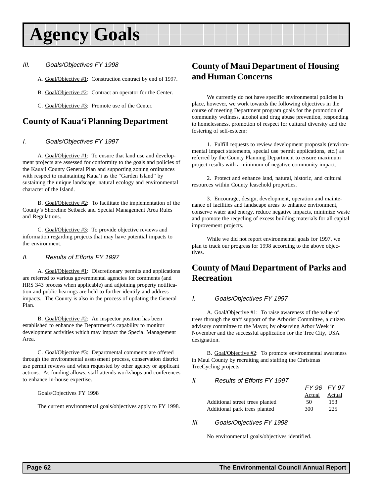## **Agency Goals**

### III. Goals/Objectives FY 1998

A. Goal/Objective #1: Construction contract by end of 1997.

B. Goal/Objective #2: Contract an operator for the Center.

C. Goal/Objective #3: Promote use of the Center.

## **County of Kaua'i Planning Department**

### I. Goals/Objectives FY 1997

A. Goal/Objective #1: To ensure that land use and development projects are assessed for conformity to the goals and policies of the Kaua'i County General Plan and supporting zoning ordinances with respect to maintaining Kaua'i as the "Garden Island" by sustaining the unique landscape, natural ecology and environmental character of the Island.

B. Goal/Objective #2: To facilitate the implementation of the County's Shoreline Setback and Special Management Area Rules and Regulations.

C. Goal/Objective #3: To provide objective reviews and information regarding projects that may have potential impacts to the environment.

### II. Results of Efforts FY 1997

A. Goal/Objective #1: Discretionary permits and applications are referred to various governmental agencies for comments (and HRS 343 process when applicable) and adjoining property notification and public hearings are held to further identify and address impacts. The County is also in the process of updating the General Plan.

B. Goal/Objective #2: An inspector position has been established to enhance the Department's capability to monitor development activities which may impact the Special Management Area.

C. Goal/Objective #3: Departmental comments are offered through the environmental assessment process, conservation district use permit reviews and when requested by other agency or applicant actions. As funding allows, staff attends workshops and conferences to enhance in-house expertise.

Goals/Objectives FY 1998

The current environmental goals/objectives apply to FY 1998.

## **County of Maui Department of Housing and Human Concerns**

We currently do not have specific environmental policies in place, however, we work towards the following objectives in the course of meeting Department program goals for the promotion of community wellness, alcohol and drug abuse prevention, responding to homelessness, promotion of respect for cultural diversity and the fostering of self-esteem:

1. Fulfill requests to review development proposals (environmental impact statements, special use permit applications, etc.) as referred by the County Planning Department to ensure maximum project results with a minimum of negative community impact.

2. Protect and enhance land, natural, historic, and cultural resources within County leasehold properties.

3. Encourage, design, development, operation and maintenance of facilities and landscape areas to enhance environment, conserve water and energy, reduce negative impacts, minimize waste and promote the recycling of excess building materials for all capital improvement projects.

While we did not report environmental goals for 1997, we plan to track our progress for 1998 according to the above objectives.

## **County of Maui Department of Parks and Recreation**

### I. Goals/Objectives FY 1997

A. Goal/Objective #1: To raise awareness of the value of trees through the staff support of the Arborist Committee, a citizen advisory committee to the Mayor, by observing Arbor Week in November and the successful application for the Tree City, USA designation.

B. Goal/Objective #2: To promote environmental awareness in Maui County by recruiting and staffing the Christmas TreeCycling projects.

### II. Results of Efforts FY 1997

| FY 96 FY 97      |                                 |
|------------------|---------------------------------|
| Actual<br>Actual |                                 |
| 153<br>50        | Additional street trees planted |
| 225<br>300       | Additional park trees planted   |
|                  |                                 |

### III. Goals/Objectives FY 1998

No environmental goals/objectives identified.